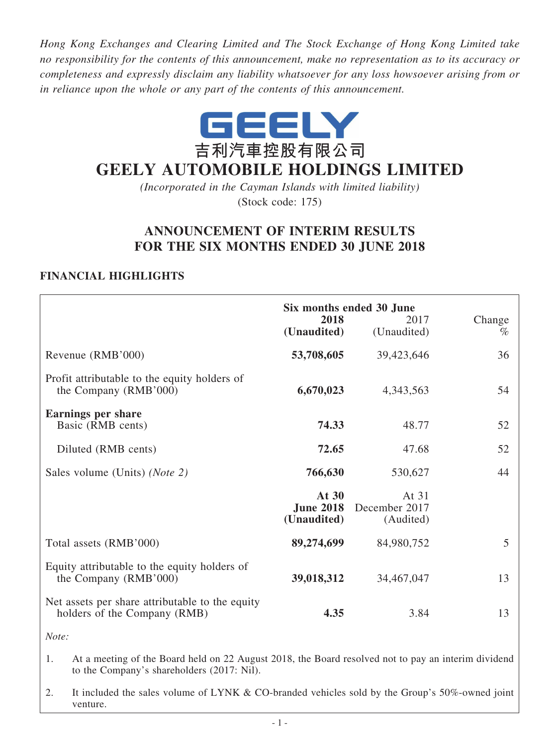*Hong Kong Exchanges and Clearing Limited and The Stock Exchange of Hong Kong Limited take no responsibility for the contents of this announcement, make no representation as to its accuracy or completeness and expressly disclaim any liability whatsoever for any loss howsoever arising from or in reliance upon the whole or any part of the contents of this announcement.*



# **GEELY AUTOMOBILE HOLDINGS LIMITED**

*(Incorporated in the Cayman Islands with limited liability)* (Stock code: 175)

## **ANNOUNCEMENT OF INTERIM RESULTS FOR THE SIX MONTHS ENDED 30 JUNE 2018**

### **FINANCIAL HIGHLIGHTS**

|                                                                                 | 2018<br>(Unaudited)                      | Six months ended 30 June<br>2017<br>(Unaudited) | Change<br>$\%$ |
|---------------------------------------------------------------------------------|------------------------------------------|-------------------------------------------------|----------------|
| Revenue (RMB'000)                                                               | 53,708,605                               | 39,423,646                                      | 36             |
| Profit attributable to the equity holders of<br>the Company (RMB'000)           | 6,670,023                                | 4,343,563                                       | 54             |
| <b>Earnings per share</b><br>Basic (RMB cents)                                  | 74.33                                    | 48.77                                           | 52             |
| Diluted (RMB cents)                                                             | 72.65                                    | 47.68                                           | 52             |
| Sales volume (Units) ( <i>Note 2</i> )                                          | 766,630                                  | 530,627                                         | 44             |
|                                                                                 | At 30<br><b>June 2018</b><br>(Unaudited) | At 31<br>December 2017<br>(Audited)             |                |
| Total assets (RMB'000)                                                          | 89,274,699                               | 84,980,752                                      | 5              |
| Equity attributable to the equity holders of<br>the Company (RMB'000)           | 39,018,312                               | 34,467,047                                      | 13             |
| Net assets per share attributable to the equity<br>holders of the Company (RMB) | 4.35                                     | 3.84                                            | 13             |

*Note:*

- 1. At a meeting of the Board held on 22 August 2018, the Board resolved not to pay an interim dividend to the Company's shareholders (2017: Nil).
- 2. It included the sales volume of LYNK & CO-branded vehicles sold by the Group's 50%-owned joint venture.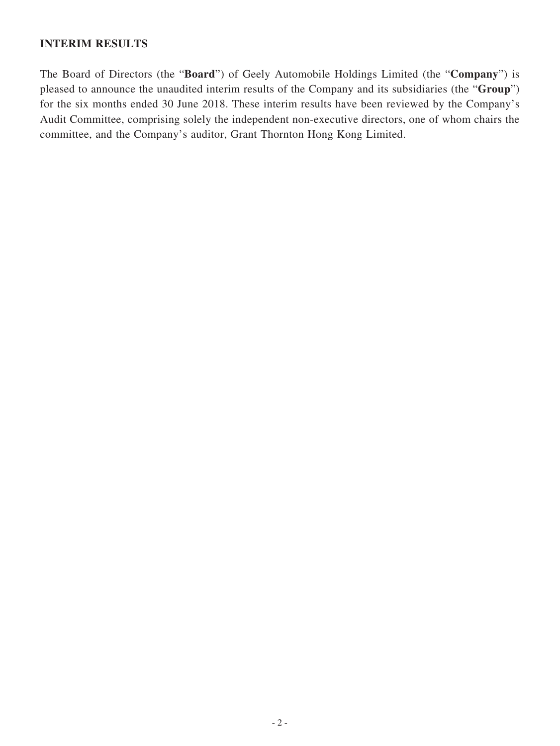### **INTERIM RESULTS**

The Board of Directors (the "**Board**") of Geely Automobile Holdings Limited (the "**Company**") is pleased to announce the unaudited interim results of the Company and its subsidiaries (the "**Group**") for the six months ended 30 June 2018. These interim results have been reviewed by the Company's Audit Committee, comprising solely the independent non-executive directors, one of whom chairs the committee, and the Company's auditor, Grant Thornton Hong Kong Limited.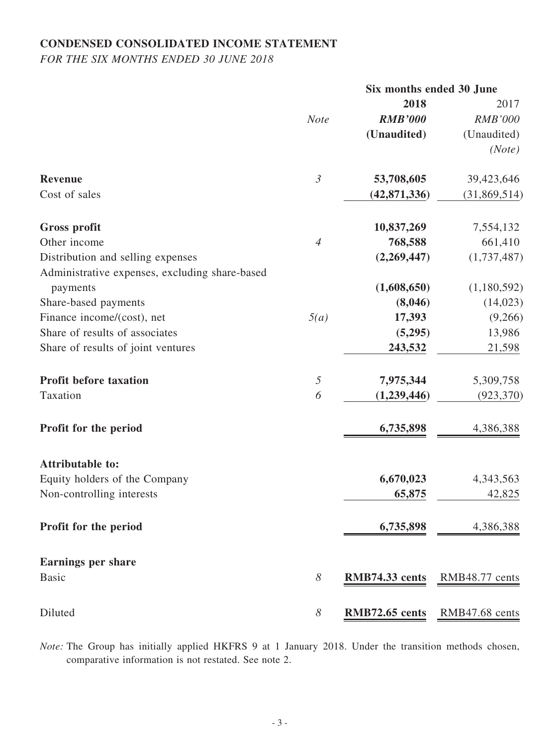## **CONDENSED CONSOLIDATED INCOME STATEMENT**

*FOR THE SIX MONTHS ENDED 30 JUNE 2018*

|                       |                | Six months ended 30 June |  |
|-----------------------|----------------|--------------------------|--|
|                       | 2018           | 2017                     |  |
| <b>Note</b>           | <b>RMB'000</b> | <b>RMB'000</b>           |  |
|                       | (Unaudited)    | (Unaudited)              |  |
|                       |                | (Note)                   |  |
| $\mathfrak{Z}$        | 53,708,605     | 39,423,646               |  |
|                       | (42, 871, 336) | (31,869,514)             |  |
|                       | 10,837,269     | 7,554,132                |  |
| $\overline{4}$        | 768,588        | 661,410                  |  |
|                       | (2,269,447)    | (1,737,487)              |  |
|                       |                |                          |  |
|                       | (1,608,650)    | (1,180,592)              |  |
|                       | (8,046)        | (14, 023)                |  |
| 5(a)                  | 17,393         | (9,266)                  |  |
|                       | (5,295)        | 13,986                   |  |
|                       | 243,532        | 21,598                   |  |
| $\sqrt{2}$            |                | 5,309,758                |  |
| 6                     | (1,239,446)    | (923, 370)               |  |
|                       | 6,735,898      | 4,386,388                |  |
|                       |                |                          |  |
|                       | 6,670,023      | 4,343,563                |  |
|                       | 65,875         | 42,825                   |  |
|                       | 6,735,898      | 4,386,388                |  |
|                       |                |                          |  |
| $\boldsymbol{\delta}$ | RMB74.33 cents | RMB48.77 cents           |  |
| $\boldsymbol{\delta}$ | RMB72.65 cents | RMB47.68 cents           |  |
|                       |                | 7,975,344                |  |

*Note:* The Group has initially applied HKFRS 9 at 1 January 2018. Under the transition methods chosen, comparative information is not restated. See note 2.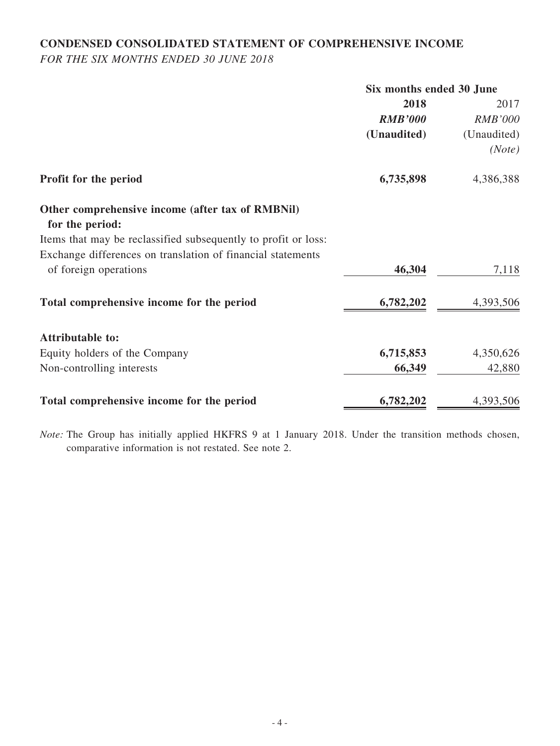## **CONDENSED CONSOLIDATED STATEMENT OF COMPREHENSIVE INCOME**

*FOR THE SIX MONTHS ENDED 30 JUNE 2018*

|                                                                     | Six months ended 30 June |                |
|---------------------------------------------------------------------|--------------------------|----------------|
|                                                                     | 2018                     | 2017           |
|                                                                     | <b>RMB'000</b>           | <b>RMB'000</b> |
|                                                                     | (Unaudited)              | (Unaudited)    |
|                                                                     |                          | (Note)         |
| Profit for the period                                               | 6,735,898                | 4,386,388      |
| Other comprehensive income (after tax of RMBNil)<br>for the period: |                          |                |
| Items that may be reclassified subsequently to profit or loss:      |                          |                |
| Exchange differences on translation of financial statements         |                          |                |
| of foreign operations                                               | 46,304                   | 7,118          |
| Total comprehensive income for the period                           | 6,782,202                | 4,393,506      |
| <b>Attributable to:</b>                                             |                          |                |
| Equity holders of the Company                                       | 6,715,853                | 4,350,626      |
| Non-controlling interests                                           | 66,349                   | 42,880         |
| Total comprehensive income for the period                           | 6,782,202                | 4,393,506      |

*Note:* The Group has initially applied HKFRS 9 at 1 January 2018. Under the transition methods chosen, comparative information is not restated. See note 2.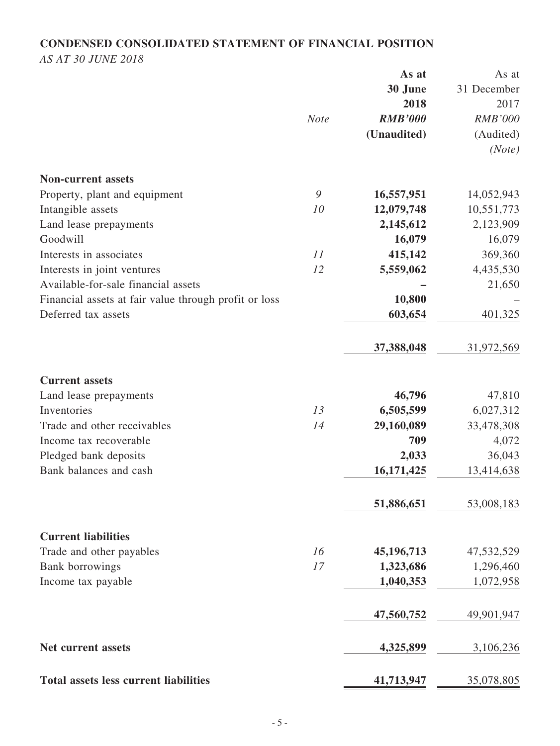## **CONDENSED CONSOLIDATED STATEMENT OF FINANCIAL POSITION**

*AS AT 30 JUNE 2018*

|                                                       |             | As at          | As at          |
|-------------------------------------------------------|-------------|----------------|----------------|
|                                                       |             | 30 June        | 31 December    |
|                                                       |             | 2018           | 2017           |
|                                                       | <b>Note</b> | <b>RMB'000</b> | <b>RMB'000</b> |
|                                                       |             | (Unaudited)    | (Audited)      |
|                                                       |             |                | (Note)         |
| <b>Non-current assets</b>                             |             |                |                |
| Property, plant and equipment                         | 9           | 16,557,951     | 14,052,943     |
| Intangible assets                                     | 10          | 12,079,748     | 10,551,773     |
| Land lease prepayments                                |             | 2,145,612      | 2,123,909      |
| Goodwill                                              |             | 16,079         | 16,079         |
| Interests in associates                               | 11          | 415,142        | 369,360        |
| Interests in joint ventures                           | 12          | 5,559,062      | 4,435,530      |
| Available-for-sale financial assets                   |             |                | 21,650         |
| Financial assets at fair value through profit or loss |             | 10,800         |                |
| Deferred tax assets                                   |             | 603,654        | 401,325        |
|                                                       |             | 37,388,048     | 31,972,569     |
| <b>Current assets</b>                                 |             |                |                |
| Land lease prepayments                                |             | 46,796         | 47,810         |
| Inventories                                           | 13          | 6,505,599      | 6,027,312      |
| Trade and other receivables                           | 14          | 29,160,089     | 33,478,308     |
| Income tax recoverable                                |             | 709            | 4,072          |
| Pledged bank deposits                                 |             | 2,033          | 36,043         |
| Bank balances and cash                                |             | 16,171,425     | 13,414,638     |
|                                                       |             | 51,886,651     | 53,008,183     |
| <b>Current liabilities</b>                            |             |                |                |
| Trade and other payables                              | 16          | 45,196,713     | 47,532,529     |
| Bank borrowings                                       | 17          | 1,323,686      | 1,296,460      |
| Income tax payable                                    |             | 1,040,353      | 1,072,958      |
|                                                       |             | 47,560,752     | 49,901,947     |
| Net current assets                                    |             | 4,325,899      | 3,106,236      |
| <b>Total assets less current liabilities</b>          |             | 41,713,947     | 35,078,805     |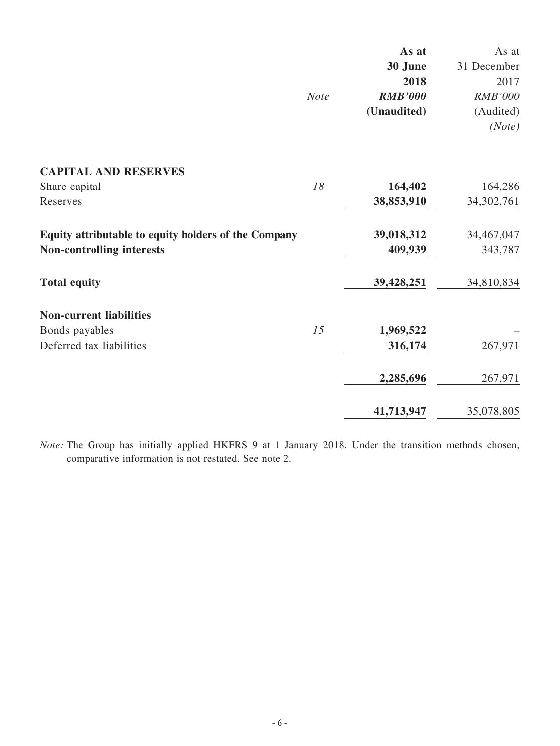|                                                      |             | As at          | As at          |
|------------------------------------------------------|-------------|----------------|----------------|
|                                                      |             | 30 June        | 31 December    |
|                                                      |             | 2018           | 2017           |
|                                                      | <b>Note</b> | <b>RMB'000</b> | <b>RMB'000</b> |
|                                                      |             | (Unaudited)    | (Audited)      |
|                                                      |             |                | (Note)         |
| <b>CAPITAL AND RESERVES</b>                          |             |                |                |
| Share capital                                        | 18          | 164,402        | 164,286        |
| Reserves                                             |             | 38,853,910     | 34, 302, 761   |
| Equity attributable to equity holders of the Company |             | 39,018,312     | 34,467,047     |
| <b>Non-controlling interests</b>                     |             | 409,939        | 343,787        |
| <b>Total equity</b>                                  |             | 39,428,251     | 34,810,834     |
| <b>Non-current liabilities</b>                       |             |                |                |
| Bonds payables                                       | 15          | 1,969,522      |                |
| Deferred tax liabilities                             |             | 316,174        | 267,971        |
|                                                      |             | 2,285,696      | 267,971        |
|                                                      |             | 41,713,947     | 35,078,805     |

*Note:* The Group has initially applied HKFRS 9 at 1 January 2018. Under the transition methods chosen, comparative information is not restated. See note 2.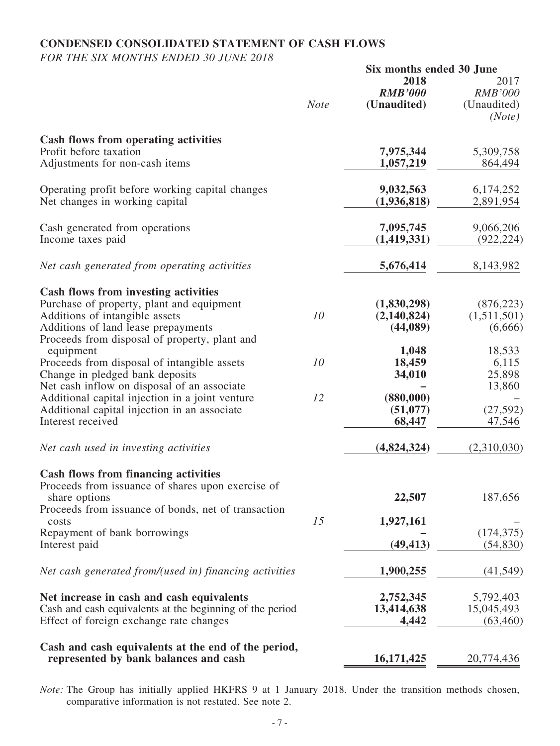## **CONDENSED CONSOLIDATED STATEMENT OF CASH FLOWS**

*FOR THE SIX MONTHS ENDED 30 JUNE 2018*

|                                                                                                                                                                                                                    |             | Six months ended 30 June               |                                                 |
|--------------------------------------------------------------------------------------------------------------------------------------------------------------------------------------------------------------------|-------------|----------------------------------------|-------------------------------------------------|
|                                                                                                                                                                                                                    | <b>Note</b> | 2018<br><b>RMB'000</b><br>(Unaudited)  | 2017<br><b>RMB'000</b><br>(Unaudited)<br>(Note) |
| <b>Cash flows from operating activities</b><br>Profit before taxation<br>Adjustments for non-cash items                                                                                                            |             | 7,975,344<br>1,057,219                 | 5,309,758<br>864,494                            |
| Operating profit before working capital changes<br>Net changes in working capital                                                                                                                                  |             | 9,032,563<br>(1,936,818)               | 6,174,252<br>2,891,954                          |
| Cash generated from operations<br>Income taxes paid                                                                                                                                                                |             | 7,095,745<br>(1,419,331)               | 9,066,206<br>(922, 224)                         |
| Net cash generated from operating activities                                                                                                                                                                       |             | 5,676,414                              | 8,143,982                                       |
| <b>Cash flows from investing activities</b><br>Purchase of property, plant and equipment<br>Additions of intangible assets<br>Additions of land lease prepayments<br>Proceeds from disposal of property, plant and | 10          | (1,830,298)<br>(2,140,824)<br>(44,089) | (876, 223)<br>(1,511,501)<br>(6,666)            |
| equipment<br>Proceeds from disposal of intangible assets<br>Change in pledged bank deposits<br>Net cash inflow on disposal of an associate                                                                         | 10          | 1,048<br>18,459<br>34,010              | 18,533<br>6,115<br>25,898<br>13,860             |
| Additional capital injection in a joint venture<br>Additional capital injection in an associate<br>Interest received                                                                                               | 12          | (880,000)<br>(51,077)<br>68,447        | (27, 592)<br>47,546                             |
| Net cash used in investing activities                                                                                                                                                                              |             | (4,824,324)                            | (2,310,030)                                     |
| <b>Cash flows from financing activities</b><br>Proceeds from issuance of shares upon exercise of<br>share options<br>Proceeds from issuance of bonds, net of transaction                                           |             | 22,507                                 | 187,656                                         |
| costs<br>Repayment of bank borrowings<br>Interest paid                                                                                                                                                             | 15          | 1,927,161<br>(49, 413)                 | (174, 375)<br>(54, 830)                         |
| Net cash generated from/(used in) financing activities                                                                                                                                                             |             | 1,900,255                              | (41, 549)                                       |
| Net increase in cash and cash equivalents<br>Cash and cash equivalents at the beginning of the period<br>Effect of foreign exchange rate changes                                                                   |             | 2,752,345<br>13,414,638<br>4,442       | 5,792,403<br>15,045,493<br>(63, 460)            |
| Cash and cash equivalents at the end of the period,<br>represented by bank balances and cash                                                                                                                       |             | 16,171,425                             | 20,774,436                                      |

*Note:* The Group has initially applied HKFRS 9 at 1 January 2018. Under the transition methods chosen, comparative information is not restated. See note 2.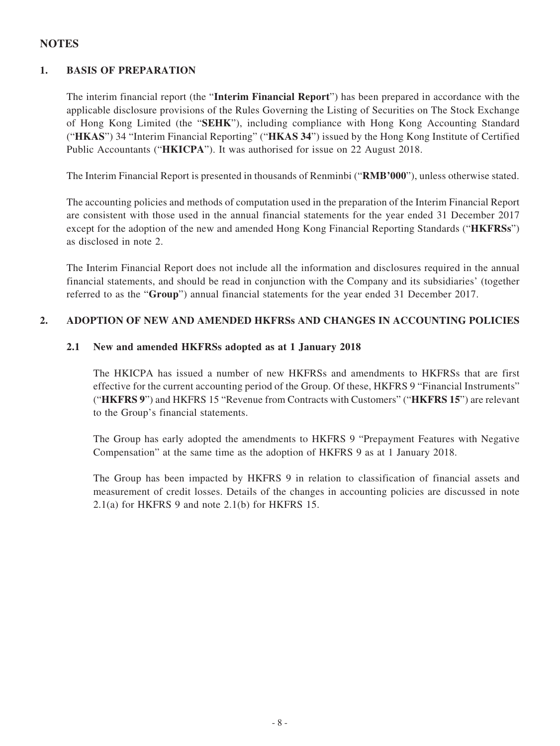### **NOTES**

### **1. BASIS OF PREPARATION**

The interim financial report (the "**Interim Financial Report**") has been prepared in accordance with the applicable disclosure provisions of the Rules Governing the Listing of Securities on The Stock Exchange of Hong Kong Limited (the "**SEHK**"), including compliance with Hong Kong Accounting Standard ("**HKAS**") 34 "Interim Financial Reporting" ("**HKAS 34**") issued by the Hong Kong Institute of Certified Public Accountants ("**HKICPA**"). It was authorised for issue on 22 August 2018.

The Interim Financial Report is presented in thousands of Renminbi ("**RMB'000**"), unless otherwise stated.

The accounting policies and methods of computation used in the preparation of the Interim Financial Report are consistent with those used in the annual financial statements for the year ended 31 December 2017 except for the adoption of the new and amended Hong Kong Financial Reporting Standards ("**HKFRSs**") as disclosed in note 2.

The Interim Financial Report does not include all the information and disclosures required in the annual financial statements, and should be read in conjunction with the Company and its subsidiaries' (together referred to as the "**Group**") annual financial statements for the year ended 31 December 2017.

### **2. ADOPTION OF NEW AND AMENDED HKFRSs AND CHANGES IN ACCOUNTING POLICIES**

#### **2.1 New and amended HKFRSs adopted as at 1 January 2018**

The HKICPA has issued a number of new HKFRSs and amendments to HKFRSs that are first effective for the current accounting period of the Group. Of these, HKFRS 9 "Financial Instruments" ("**HKFRS 9**") and HKFRS 15 "Revenue from Contracts with Customers" ("**HKFRS 15**") are relevant to the Group's financial statements.

The Group has early adopted the amendments to HKFRS 9 "Prepayment Features with Negative Compensation" at the same time as the adoption of HKFRS 9 as at 1 January 2018.

The Group has been impacted by HKFRS 9 in relation to classification of financial assets and measurement of credit losses. Details of the changes in accounting policies are discussed in note 2.1(a) for HKFRS 9 and note 2.1(b) for HKFRS 15.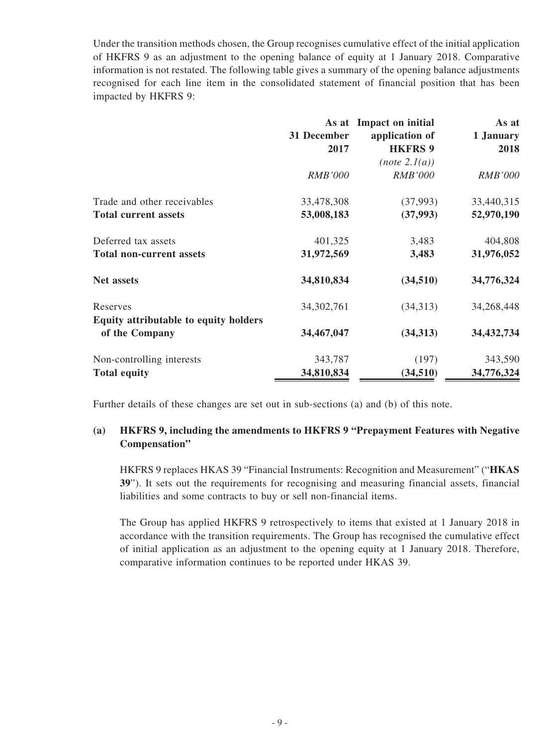Under the transition methods chosen, the Group recognises cumulative effect of the initial application of HKFRS 9 as an adjustment to the opening balance of equity at 1 January 2018. Comparative information is not restated. The following table gives a summary of the opening balance adjustments recognised for each line item in the consolidated statement of financial position that has been impacted by HKFRS 9:

|                                                         | 31 December<br>2017 | As at Impact on initial<br>application of<br><b>HKFRS 9</b> | As at<br>1 January<br>2018 |
|---------------------------------------------------------|---------------------|-------------------------------------------------------------|----------------------------|
|                                                         | <b>RMB'000</b>      | (note 2.1(a))<br><b>RMB'000</b>                             | <i>RMB'000</i>             |
| Trade and other receivables                             | 33,478,308          | (37,993)                                                    | 33,440,315                 |
| <b>Total current assets</b>                             | 53,008,183          | (37,993)                                                    | 52,970,190                 |
| Deferred tax assets                                     | 401,325             | 3,483                                                       | 404,808                    |
| <b>Total non-current assets</b>                         | 31,972,569          | 3,483                                                       | 31,976,052                 |
| <b>Net assets</b>                                       | 34,810,834          | (34,510)                                                    | 34,776,324                 |
| Reserves                                                | 34, 302, 761        | (34,313)                                                    | 34,268,448                 |
| Equity attributable to equity holders<br>of the Company | 34,467,047          | (34,313)                                                    | 34,432,734                 |
| Non-controlling interests                               | 343,787             | (197)                                                       | 343,590                    |
| <b>Total equity</b>                                     | 34,810,834          | (34,510)                                                    | 34,776,324                 |

Further details of these changes are set out in sub-sections (a) and (b) of this note.

#### **(a) HKFRS 9, including the amendments to HKFRS 9 "Prepayment Features with Negative Compensation"**

HKFRS 9 replaces HKAS 39 "Financial Instruments: Recognition and Measurement" ("**HKAS 39**"). It sets out the requirements for recognising and measuring financial assets, financial liabilities and some contracts to buy or sell non-financial items.

The Group has applied HKFRS 9 retrospectively to items that existed at 1 January 2018 in accordance with the transition requirements. The Group has recognised the cumulative effect of initial application as an adjustment to the opening equity at 1 January 2018. Therefore, comparative information continues to be reported under HKAS 39.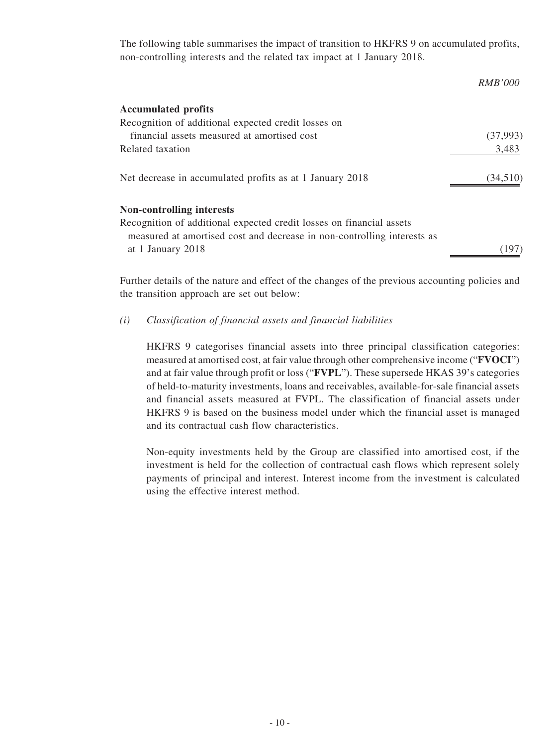The following table summarises the impact of transition to HKFRS 9 on accumulated profits, non-controlling interests and the related tax impact at 1 January 2018.

|                                                                                                                                                 | <i>RMB'000</i> |
|-------------------------------------------------------------------------------------------------------------------------------------------------|----------------|
| <b>Accumulated profits</b>                                                                                                                      |                |
| Recognition of additional expected credit losses on                                                                                             |                |
| financial assets measured at amortised cost                                                                                                     | (37,993)       |
| Related taxation                                                                                                                                | 3,483          |
| Net decrease in accumulated profits as at 1 January 2018                                                                                        | (34,510)       |
| Non-controlling interests                                                                                                                       |                |
| Recognition of additional expected credit losses on financial assets<br>measured at amortised cost and decrease in non-controlling interests as |                |
| at 1 January 2018                                                                                                                               |                |
|                                                                                                                                                 |                |

Further details of the nature and effect of the changes of the previous accounting policies and the transition approach are set out below:

#### *(i) Classification of financial assets and financial liabilities*

HKFRS 9 categorises financial assets into three principal classification categories: measured at amortised cost, at fair value through other comprehensive income ("**FVOCI**") and at fair value through profit or loss ("**FVPL**"). These supersede HKAS 39's categories of held-to-maturity investments, loans and receivables, available-for-sale financial assets and financial assets measured at FVPL. The classification of financial assets under HKFRS 9 is based on the business model under which the financial asset is managed and its contractual cash flow characteristics.

Non-equity investments held by the Group are classified into amortised cost, if the investment is held for the collection of contractual cash flows which represent solely payments of principal and interest. Interest income from the investment is calculated using the effective interest method.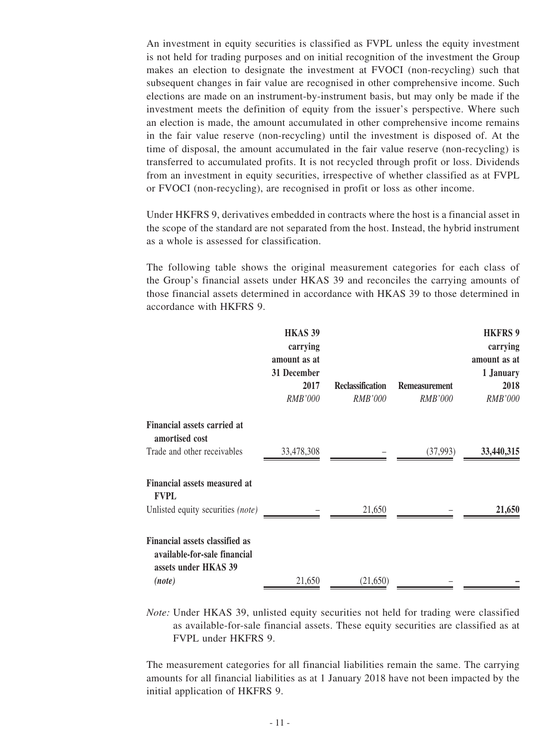An investment in equity securities is classified as FVPL unless the equity investment is not held for trading purposes and on initial recognition of the investment the Group makes an election to designate the investment at FVOCI (non-recycling) such that subsequent changes in fair value are recognised in other comprehensive income. Such elections are made on an instrument-by-instrument basis, but may only be made if the investment meets the definition of equity from the issuer's perspective. Where such an election is made, the amount accumulated in other comprehensive income remains in the fair value reserve (non-recycling) until the investment is disposed of. At the time of disposal, the amount accumulated in the fair value reserve (non-recycling) is transferred to accumulated profits. It is not recycled through profit or loss. Dividends from an investment in equity securities, irrespective of whether classified as at FVPL or FVOCI (non-recycling), are recognised in profit or loss as other income.

Under HKFRS 9, derivatives embedded in contracts where the host is a financial asset in the scope of the standard are not separated from the host. Instead, the hybrid instrument as a whole is assessed for classification.

The following table shows the original measurement categories for each class of the Group's financial assets under HKAS 39 and reconciles the carrying amounts of those financial assets determined in accordance with HKAS 39 to those determined in accordance with HKFRS 9.

|                                                                                               | <b>HKAS 39</b><br>carrying<br>amount as at<br>31 December<br>2017<br><b>RMB'000</b> | <b>Reclassification</b><br>RMB'000 | <b>Remeasurement</b><br><b>RMB'000</b> | <b>HKFRS 9</b><br>carrying<br>amount as at<br>1 January<br>2018<br>RMB'000 |
|-----------------------------------------------------------------------------------------------|-------------------------------------------------------------------------------------|------------------------------------|----------------------------------------|----------------------------------------------------------------------------|
| Financial assets carried at                                                                   |                                                                                     |                                    |                                        |                                                                            |
| amortised cost<br>Trade and other receivables                                                 | 33,478,308                                                                          |                                    | (37,993)                               | 33,440,315                                                                 |
| Financial assets measured at<br><b>FVPL</b>                                                   |                                                                                     |                                    |                                        |                                                                            |
| Unlisted equity securities (note)                                                             |                                                                                     | 21,650                             |                                        | 21,650                                                                     |
| <b>Financial assets classified as</b><br>available-for-sale financial<br>assets under HKAS 39 |                                                                                     |                                    |                                        |                                                                            |
| (note)                                                                                        | 21,650                                                                              | (21,650)                           |                                        |                                                                            |

*Note:* Under HKAS 39, unlisted equity securities not held for trading were classified as available-for-sale financial assets. These equity securities are classified as at FVPL under HKFRS 9.

The measurement categories for all financial liabilities remain the same. The carrying amounts for all financial liabilities as at 1 January 2018 have not been impacted by the initial application of HKFRS 9.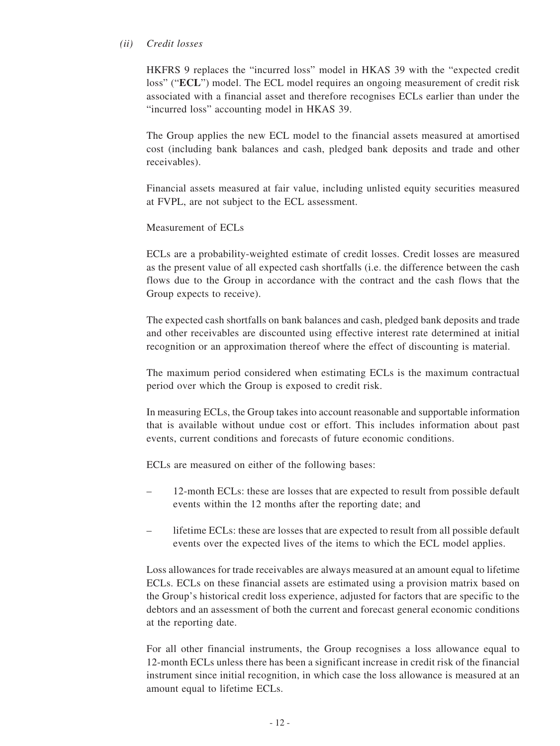#### *(ii) Credit losses*

HKFRS 9 replaces the "incurred loss" model in HKAS 39 with the "expected credit loss" ("**ECL**") model. The ECL model requires an ongoing measurement of credit risk associated with a financial asset and therefore recognises ECLs earlier than under the "incurred loss" accounting model in HKAS 39.

The Group applies the new ECL model to the financial assets measured at amortised cost (including bank balances and cash, pledged bank deposits and trade and other receivables).

Financial assets measured at fair value, including unlisted equity securities measured at FVPL, are not subject to the ECL assessment.

#### Measurement of ECLs

ECLs are a probability-weighted estimate of credit losses. Credit losses are measured as the present value of all expected cash shortfalls (i.e. the difference between the cash flows due to the Group in accordance with the contract and the cash flows that the Group expects to receive).

The expected cash shortfalls on bank balances and cash, pledged bank deposits and trade and other receivables are discounted using effective interest rate determined at initial recognition or an approximation thereof where the effect of discounting is material.

The maximum period considered when estimating ECLs is the maximum contractual period over which the Group is exposed to credit risk.

In measuring ECLs, the Group takes into account reasonable and supportable information that is available without undue cost or effort. This includes information about past events, current conditions and forecasts of future economic conditions.

ECLs are measured on either of the following bases:

- 12-month ECLs: these are losses that are expected to result from possible default events within the 12 months after the reporting date; and
- lifetime ECLs: these are losses that are expected to result from all possible default events over the expected lives of the items to which the ECL model applies.

Loss allowances for trade receivables are always measured at an amount equal to lifetime ECLs. ECLs on these financial assets are estimated using a provision matrix based on the Group's historical credit loss experience, adjusted for factors that are specific to the debtors and an assessment of both the current and forecast general economic conditions at the reporting date.

For all other financial instruments, the Group recognises a loss allowance equal to 12-month ECLs unless there has been a significant increase in credit risk of the financial instrument since initial recognition, in which case the loss allowance is measured at an amount equal to lifetime ECLs.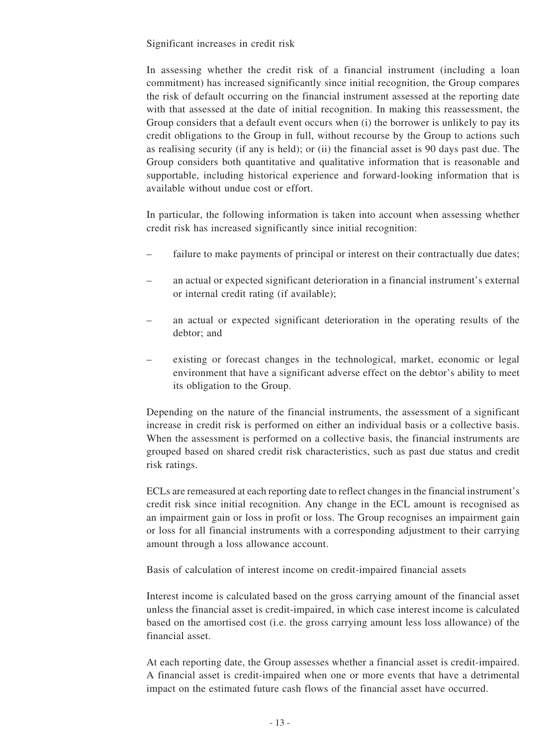Significant increases in credit risk

In assessing whether the credit risk of a financial instrument (including a loan commitment) has increased significantly since initial recognition, the Group compares the risk of default occurring on the financial instrument assessed at the reporting date with that assessed at the date of initial recognition. In making this reassessment, the Group considers that a default event occurs when (i) the borrower is unlikely to pay its credit obligations to the Group in full, without recourse by the Group to actions such as realising security (if any is held); or (ii) the financial asset is 90 days past due. The Group considers both quantitative and qualitative information that is reasonable and supportable, including historical experience and forward-looking information that is available without undue cost or effort.

In particular, the following information is taken into account when assessing whether credit risk has increased significantly since initial recognition:

- failure to make payments of principal or interest on their contractually due dates;
- an actual or expected significant deterioration in a financial instrument's external or internal credit rating (if available);
- an actual or expected significant deterioration in the operating results of the debtor; and
- existing or forecast changes in the technological, market, economic or legal environment that have a significant adverse effect on the debtor's ability to meet its obligation to the Group.

Depending on the nature of the financial instruments, the assessment of a significant increase in credit risk is performed on either an individual basis or a collective basis. When the assessment is performed on a collective basis, the financial instruments are grouped based on shared credit risk characteristics, such as past due status and credit risk ratings.

ECLs are remeasured at each reporting date to reflect changes in the financial instrument's credit risk since initial recognition. Any change in the ECL amount is recognised as an impairment gain or loss in profit or loss. The Group recognises an impairment gain or loss for all financial instruments with a corresponding adjustment to their carrying amount through a loss allowance account.

Basis of calculation of interest income on credit-impaired financial assets

Interest income is calculated based on the gross carrying amount of the financial asset unless the financial asset is credit-impaired, in which case interest income is calculated based on the amortised cost (i.e. the gross carrying amount less loss allowance) of the financial asset.

At each reporting date, the Group assesses whether a financial asset is credit-impaired. A financial asset is credit-impaired when one or more events that have a detrimental impact on the estimated future cash flows of the financial asset have occurred.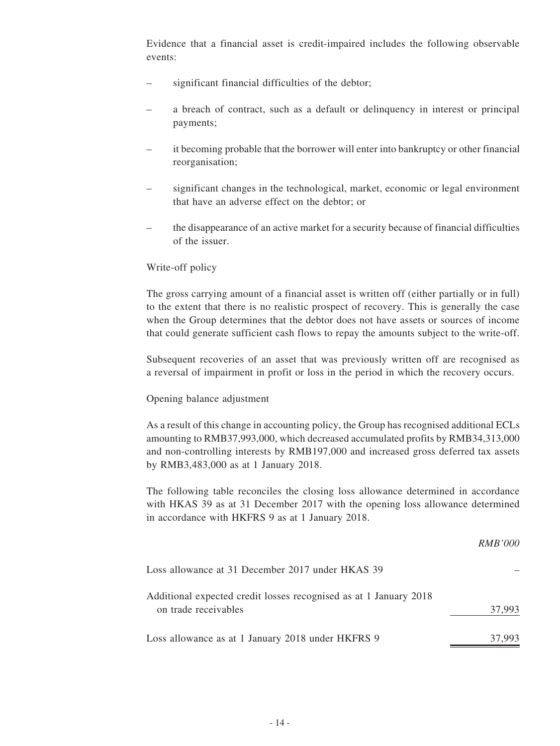Evidence that a financial asset is credit-impaired includes the following observable events:

- significant financial difficulties of the debtor;
- a breach of contract, such as a default or delinquency in interest or principal payments;
- it becoming probable that the borrower will enter into bankruptcy or other financial reorganisation;
- significant changes in the technological, market, economic or legal environment that have an adverse effect on the debtor; or
- the disappearance of an active market for a security because of financial difficulties of the issuer.

#### Write-off policy

The gross carrying amount of a financial asset is written off (either partially or in full) to the extent that there is no realistic prospect of recovery. This is generally the case when the Group determines that the debtor does not have assets or sources of income that could generate sufficient cash flows to repay the amounts subject to the write-off.

Subsequent recoveries of an asset that was previously written off are recognised as a reversal of impairment in profit or loss in the period in which the recovery occurs.

#### Opening balance adjustment

As a result of this change in accounting policy, the Group has recognised additional ECLs amounting to RMB37,993,000, which decreased accumulated profits by RMB34,313,000 and non-controlling interests by RMB197,000 and increased gross deferred tax assets by RMB3,483,000 as at 1 January 2018.

The following table reconciles the closing loss allowance determined in accordance with HKAS 39 as at 31 December 2017 with the opening loss allowance determined in accordance with HKFRS 9 as at 1 January 2018.

|                                                                                           | <i>RMB'000</i> |
|-------------------------------------------------------------------------------------------|----------------|
| Loss allowance at 31 December 2017 under HKAS 39                                          |                |
| Additional expected credit losses recognised as at 1 January 2018<br>on trade receivables | 37,993         |
| Loss allowance as at 1 January 2018 under HKFRS 9                                         | 37,993         |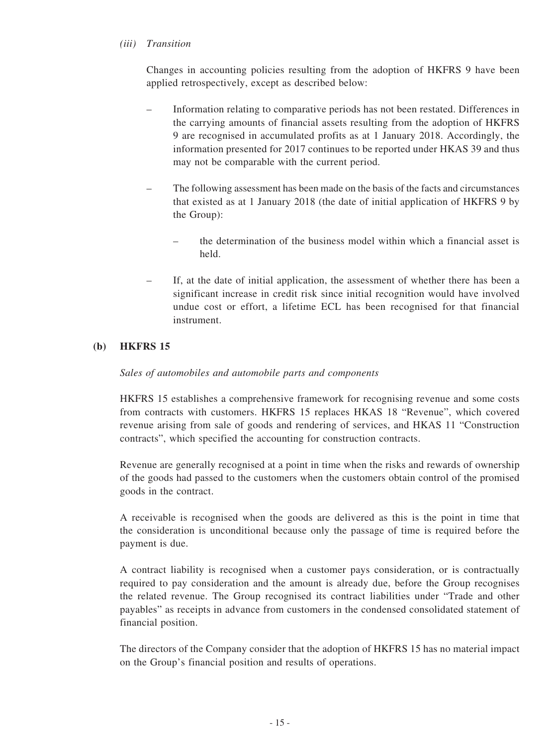#### *(iii) Transition*

Changes in accounting policies resulting from the adoption of HKFRS 9 have been applied retrospectively, except as described below:

- Information relating to comparative periods has not been restated. Differences in the carrying amounts of financial assets resulting from the adoption of HKFRS 9 are recognised in accumulated profits as at 1 January 2018. Accordingly, the information presented for 2017 continues to be reported under HKAS 39 and thus may not be comparable with the current period.
- The following assessment has been made on the basis of the facts and circumstances that existed as at 1 January 2018 (the date of initial application of HKFRS 9 by the Group):
	- the determination of the business model within which a financial asset is held.
- If, at the date of initial application, the assessment of whether there has been a significant increase in credit risk since initial recognition would have involved undue cost or effort, a lifetime ECL has been recognised for that financial instrument.

#### **(b) HKFRS 15**

#### *Sales of automobiles and automobile parts and components*

HKFRS 15 establishes a comprehensive framework for recognising revenue and some costs from contracts with customers. HKFRS 15 replaces HKAS 18 "Revenue", which covered revenue arising from sale of goods and rendering of services, and HKAS 11 "Construction contracts", which specified the accounting for construction contracts.

Revenue are generally recognised at a point in time when the risks and rewards of ownership of the goods had passed to the customers when the customers obtain control of the promised goods in the contract.

A receivable is recognised when the goods are delivered as this is the point in time that the consideration is unconditional because only the passage of time is required before the payment is due.

A contract liability is recognised when a customer pays consideration, or is contractually required to pay consideration and the amount is already due, before the Group recognises the related revenue. The Group recognised its contract liabilities under "Trade and other payables" as receipts in advance from customers in the condensed consolidated statement of financial position.

The directors of the Company consider that the adoption of HKFRS 15 has no material impact on the Group's financial position and results of operations.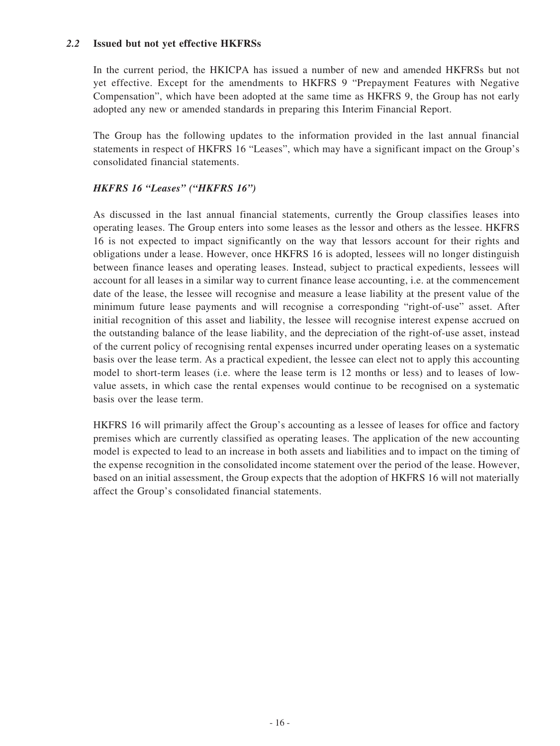#### *2.2* **Issued but not yet effective HKFRSs**

In the current period, the HKICPA has issued a number of new and amended HKFRSs but not yet effective. Except for the amendments to HKFRS 9 "Prepayment Features with Negative Compensation", which have been adopted at the same time as HKFRS 9, the Group has not early adopted any new or amended standards in preparing this Interim Financial Report.

The Group has the following updates to the information provided in the last annual financial statements in respect of HKFRS 16 "Leases", which may have a significant impact on the Group's consolidated financial statements.

#### *HKFRS 16 "Leases" ("HKFRS 16")*

As discussed in the last annual financial statements, currently the Group classifies leases into operating leases. The Group enters into some leases as the lessor and others as the lessee. HKFRS 16 is not expected to impact significantly on the way that lessors account for their rights and obligations under a lease. However, once HKFRS 16 is adopted, lessees will no longer distinguish between finance leases and operating leases. Instead, subject to practical expedients, lessees will account for all leases in a similar way to current finance lease accounting, i.e. at the commencement date of the lease, the lessee will recognise and measure a lease liability at the present value of the minimum future lease payments and will recognise a corresponding "right-of-use" asset. After initial recognition of this asset and liability, the lessee will recognise interest expense accrued on the outstanding balance of the lease liability, and the depreciation of the right-of-use asset, instead of the current policy of recognising rental expenses incurred under operating leases on a systematic basis over the lease term. As a practical expedient, the lessee can elect not to apply this accounting model to short-term leases (i.e. where the lease term is 12 months or less) and to leases of lowvalue assets, in which case the rental expenses would continue to be recognised on a systematic basis over the lease term.

HKFRS 16 will primarily affect the Group's accounting as a lessee of leases for office and factory premises which are currently classified as operating leases. The application of the new accounting model is expected to lead to an increase in both assets and liabilities and to impact on the timing of the expense recognition in the consolidated income statement over the period of the lease. However, based on an initial assessment, the Group expects that the adoption of HKFRS 16 will not materially affect the Group's consolidated financial statements.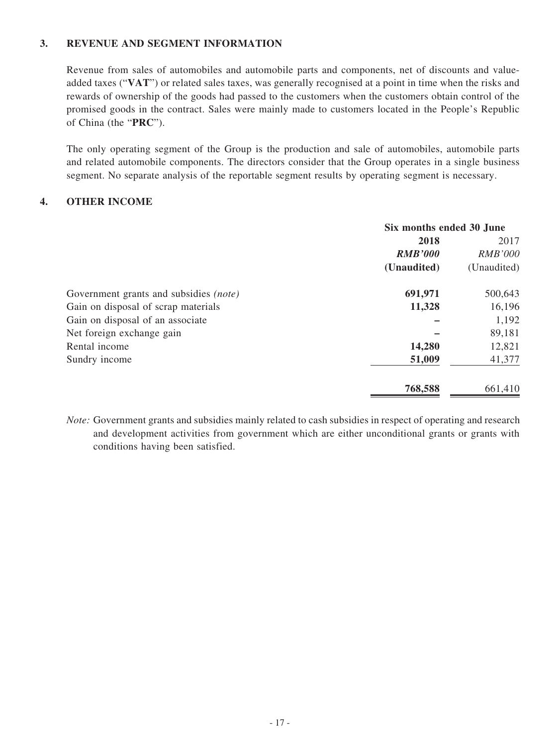### **3. REVENUE AND SEGMENT INFORMATION**

Revenue from sales of automobiles and automobile parts and components, net of discounts and valueadded taxes ("**VAT**") or related sales taxes, was generally recognised at a point in time when the risks and rewards of ownership of the goods had passed to the customers when the customers obtain control of the promised goods in the contract. Sales were mainly made to customers located in the People's Republic of China (the "**PRC**").

The only operating segment of the Group is the production and sale of automobiles, automobile parts and related automobile components. The directors consider that the Group operates in a single business segment. No separate analysis of the reportable segment results by operating segment is necessary.

#### **4. OTHER INCOME**

|                                               | Six months ended 30 June |                |
|-----------------------------------------------|--------------------------|----------------|
|                                               | 2018                     | 2017           |
|                                               | <b>RMB'000</b>           | <b>RMB'000</b> |
|                                               | (Unaudited)              | (Unaudited)    |
| Government grants and subsidies <i>(note)</i> | 691,971                  | 500,643        |
| Gain on disposal of scrap materials           | 11,328                   | 16,196         |
| Gain on disposal of an associate              |                          | 1,192          |
| Net foreign exchange gain                     |                          | 89,181         |
| Rental income                                 | 14,280                   | 12,821         |
| Sundry income                                 | 51,009                   | 41,377         |
|                                               | 768,588                  | 661,410        |

*Note:* Government grants and subsidies mainly related to cash subsidies in respect of operating and research and development activities from government which are either unconditional grants or grants with conditions having been satisfied.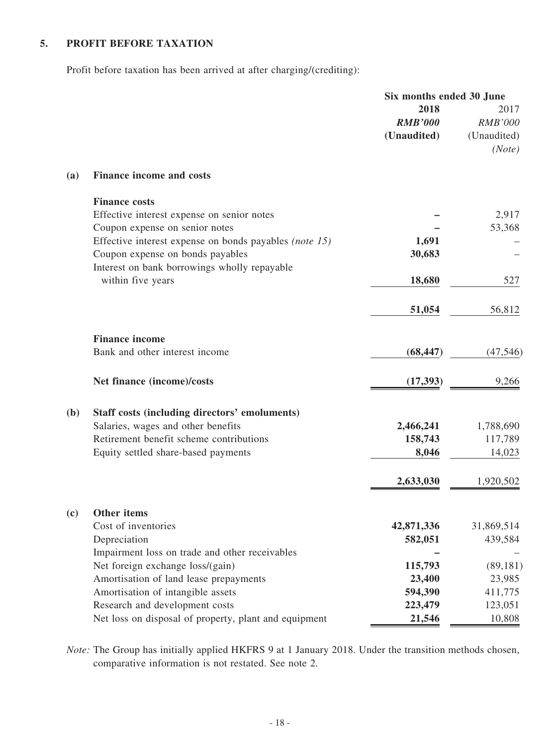### **5. PROFIT BEFORE TAXATION**

Profit before taxation has been arrived at after charging/(crediting):

| 2018<br><b>RMB'000</b><br>(Unaudited)<br><b>Finance income and costs</b><br>(a)<br><b>Finance costs</b> | 2017<br><b>RMB'000</b><br>(Unaudited)<br>(Note) |
|---------------------------------------------------------------------------------------------------------|-------------------------------------------------|
|                                                                                                         |                                                 |
|                                                                                                         |                                                 |
|                                                                                                         |                                                 |
|                                                                                                         |                                                 |
| Effective interest expense on senior notes                                                              | 2,917                                           |
| Coupon expense on senior notes                                                                          | 53,368                                          |
| Effective interest expense on bonds payables (note 15)<br>1,691                                         |                                                 |
| Coupon expense on bonds payables<br>30,683<br>Interest on bank borrowings wholly repayable              |                                                 |
| within five years<br>18,680                                                                             | 527                                             |
| 51,054                                                                                                  | 56,812                                          |
| <b>Finance income</b>                                                                                   |                                                 |
| Bank and other interest income<br>(68, 447)                                                             | (47, 546)                                       |
| Net finance (income)/costs<br>(17, 393)                                                                 | 9,266                                           |
| Staff costs (including directors' emoluments)<br>(b)                                                    |                                                 |
| Salaries, wages and other benefits<br>2,466,241                                                         | 1,788,690                                       |
| Retirement benefit scheme contributions<br>158,743                                                      | 117,789                                         |
| Equity settled share-based payments<br>8,046                                                            | 14,023                                          |
| 2,633,030                                                                                               | 1,920,502                                       |
| (c)<br>Other items                                                                                      |                                                 |
| Cost of inventories<br>42,871,336                                                                       | 31,869,514                                      |
| Depreciation<br>582,051                                                                                 | 439,584                                         |
| Impairment loss on trade and other receivables                                                          |                                                 |
| Net foreign exchange loss/(gain)<br>115,793                                                             | (89, 181)                                       |
| Amortisation of land lease prepayments<br>23,400                                                        | 23,985                                          |
| Amortisation of intangible assets<br>594,390<br>Research and development costs<br>223,479               | 411,775<br>123,051                              |
| Net loss on disposal of property, plant and equipment<br>21,546                                         | 10,808                                          |

*Note:* The Group has initially applied HKFRS 9 at 1 January 2018. Under the transition methods chosen, comparative information is not restated. See note 2.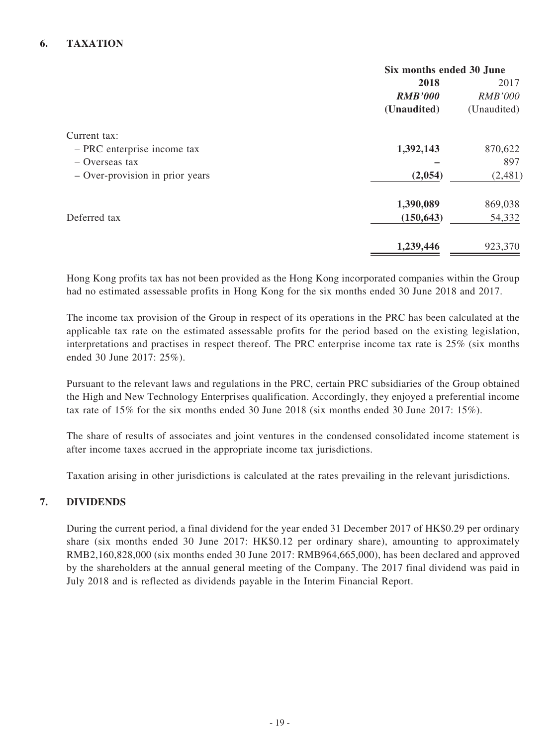### **6. TAXATION**

|                                 | Six months ended 30 June |                |  |
|---------------------------------|--------------------------|----------------|--|
|                                 | 2018                     | 2017           |  |
|                                 | <b>RMB'000</b>           | <b>RMB'000</b> |  |
|                                 | (Unaudited)              | (Unaudited)    |  |
| Current tax:                    |                          |                |  |
| - PRC enterprise income tax     | 1,392,143                | 870,622        |  |
| $-$ Overseas tax                |                          | 897            |  |
| - Over-provision in prior years | (2,054)                  | (2,481)        |  |
|                                 | 1,390,089                | 869,038        |  |
| Deferred tax                    | (150, 643)               | 54,332         |  |
|                                 | 1,239,446                | 923,370        |  |

Hong Kong profits tax has not been provided as the Hong Kong incorporated companies within the Group had no estimated assessable profits in Hong Kong for the six months ended 30 June 2018 and 2017.

The income tax provision of the Group in respect of its operations in the PRC has been calculated at the applicable tax rate on the estimated assessable profits for the period based on the existing legislation, interpretations and practises in respect thereof. The PRC enterprise income tax rate is 25% (six months ended 30 June 2017: 25%).

Pursuant to the relevant laws and regulations in the PRC, certain PRC subsidiaries of the Group obtained the High and New Technology Enterprises qualification. Accordingly, they enjoyed a preferential income tax rate of 15% for the six months ended 30 June 2018 (six months ended 30 June 2017: 15%).

The share of results of associates and joint ventures in the condensed consolidated income statement is after income taxes accrued in the appropriate income tax jurisdictions.

Taxation arising in other jurisdictions is calculated at the rates prevailing in the relevant jurisdictions.

#### **7. DIVIDENDS**

During the current period, a final dividend for the year ended 31 December 2017 of HK\$0.29 per ordinary share (six months ended 30 June 2017: HK\$0.12 per ordinary share), amounting to approximately RMB2,160,828,000 (six months ended 30 June 2017: RMB964,665,000), has been declared and approved by the shareholders at the annual general meeting of the Company. The 2017 final dividend was paid in July 2018 and is reflected as dividends payable in the Interim Financial Report.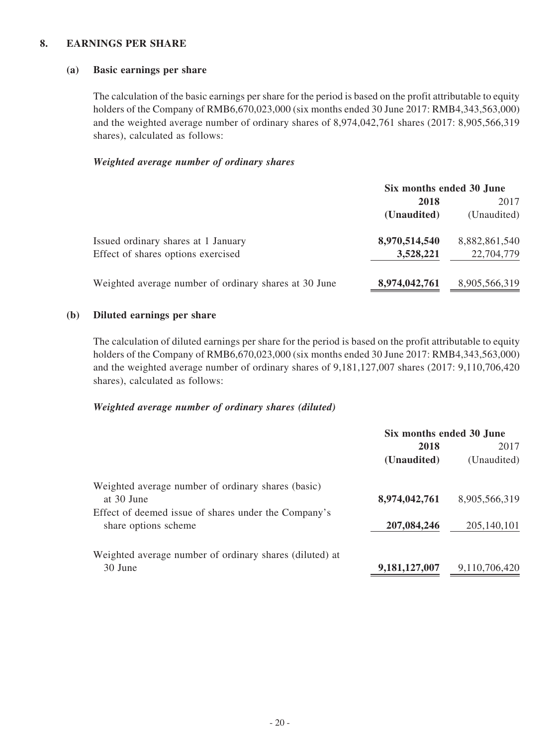#### **8. EARNINGS PER SHARE**

#### **(a) Basic earnings per share**

The calculation of the basic earnings per share for the period is based on the profit attributable to equity holders of the Company of RMB6,670,023,000 (six months ended 30 June 2017: RMB4,343,563,000) and the weighted average number of ordinary shares of 8,974,042,761 shares (2017: 8,905,566,319 shares), calculated as follows:

#### *Weighted average number of ordinary shares*

|                                                       | Six months ended 30 June |               |
|-------------------------------------------------------|--------------------------|---------------|
|                                                       | 2018                     | 2017          |
|                                                       | (Unaudited)              | (Unaudited)   |
| Issued ordinary shares at 1 January                   | 8,970,514,540            | 8,882,861,540 |
| Effect of shares options exercised                    | 3,528,221                | 22,704,779    |
| Weighted average number of ordinary shares at 30 June | 8,974,042,761            | 8,905,566,319 |

#### **(b) Diluted earnings per share**

The calculation of diluted earnings per share for the period is based on the profit attributable to equity holders of the Company of RMB6,670,023,000 (six months ended 30 June 2017: RMB4,343,563,000) and the weighted average number of ordinary shares of 9,181,127,007 shares (2017: 9,110,706,420 shares), calculated as follows:

#### *Weighted average number of ordinary shares (diluted)*

|                                                         | Six months ended 30 June |               |  |
|---------------------------------------------------------|--------------------------|---------------|--|
|                                                         | 2018                     | 2017          |  |
|                                                         | (Unaudited)              | (Unaudited)   |  |
| Weighted average number of ordinary shares (basic)      |                          |               |  |
| at 30 June                                              | 8,974,042,761            | 8,905,566,319 |  |
| Effect of deemed issue of shares under the Company's    |                          |               |  |
| share options scheme                                    | 207,084,246              | 205,140,101   |  |
| Weighted average number of ordinary shares (diluted) at |                          |               |  |
| 30 June                                                 | 9,181,127,007            | 9,110,706,420 |  |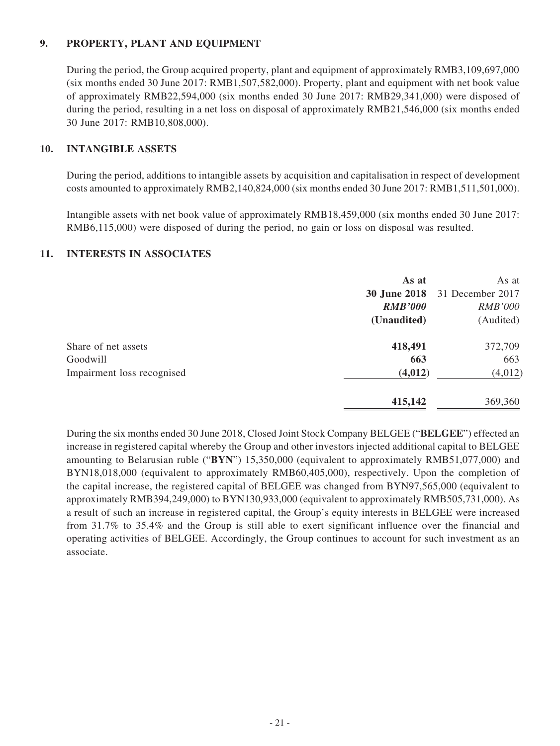### **9. PROPERTY, PLANT AND EQUIPMENT**

During the period, the Group acquired property, plant and equipment of approximately RMB3,109,697,000 (six months ended 30 June 2017: RMB1,507,582,000). Property, plant and equipment with net book value of approximately RMB22,594,000 (six months ended 30 June 2017: RMB29,341,000) were disposed of during the period, resulting in a net loss on disposal of approximately RMB21,546,000 (six months ended 30 June 2017: RMB10,808,000).

#### **10. INTANGIBLE ASSETS**

During the period, additions to intangible assets by acquisition and capitalisation in respect of development costs amounted to approximately RMB2,140,824,000 (six months ended 30 June 2017: RMB1,511,501,000).

Intangible assets with net book value of approximately RMB18,459,000 (six months ended 30 June 2017: RMB6,115,000) were disposed of during the period, no gain or loss on disposal was resulted.

#### **11. INTERESTS IN ASSOCIATES**

|                            | As at               | As at            |
|----------------------------|---------------------|------------------|
|                            | <b>30 June 2018</b> | 31 December 2017 |
|                            | <b>RMB'000</b>      | <b>RMB'000</b>   |
|                            | (Unaudited)         | (Audited)        |
| Share of net assets        | 418,491             | 372,709          |
| Goodwill                   | 663                 | 663              |
| Impairment loss recognised | (4, 012)            | (4,012)          |
|                            | 415,142             | 369,360          |

During the six months ended 30 June 2018, Closed Joint Stock Company BELGEE ("**BELGEE**") effected an increase in registered capital whereby the Group and other investors injected additional capital to BELGEE amounting to Belarusian ruble ("**BYN**") 15,350,000 (equivalent to approximately RMB51,077,000) and BYN18,018,000 (equivalent to approximately RMB60,405,000), respectively. Upon the completion of the capital increase, the registered capital of BELGEE was changed from BYN97,565,000 (equivalent to approximately RMB394,249,000) to BYN130,933,000 (equivalent to approximately RMB505,731,000). As a result of such an increase in registered capital, the Group's equity interests in BELGEE were increased from 31.7% to 35.4% and the Group is still able to exert significant influence over the financial and operating activities of BELGEE. Accordingly, the Group continues to account for such investment as an associate.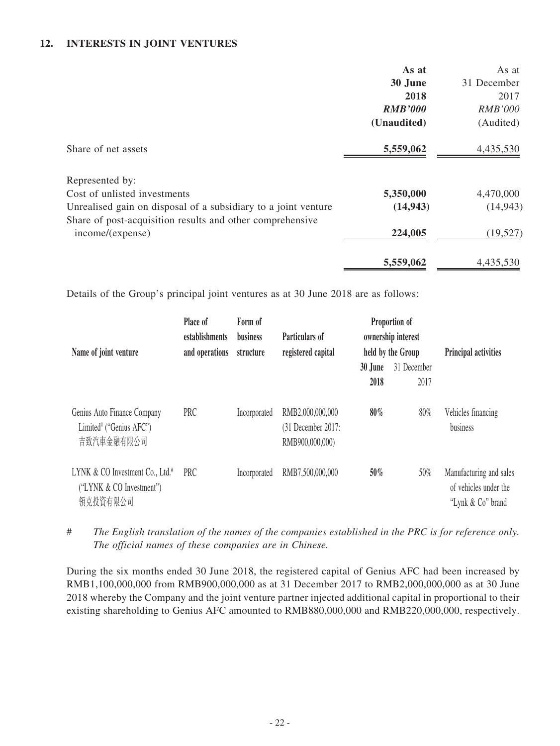#### **12. INTERESTS IN JOINT VENTURES**

|                                                                | As at          | As at          |
|----------------------------------------------------------------|----------------|----------------|
|                                                                | 30 June        | 31 December    |
|                                                                | 2018           | 2017           |
|                                                                | <b>RMB'000</b> | <i>RMB'000</i> |
|                                                                | (Unaudited)    | (Audited)      |
| Share of net assets                                            | 5,559,062      | 4,435,530      |
| Represented by:                                                |                |                |
| Cost of unlisted investments                                   | 5,350,000      | 4,470,000      |
| Unrealised gain on disposal of a subsidiary to a joint venture | (14, 943)      | (14, 943)      |
| Share of post-acquisition results and other comprehensive      |                |                |
| income/(expense)                                               | 224,005        | (19, 527)      |
|                                                                | 5,559,062      | 4,435,530      |

Details of the Group's principal joint ventures as at 30 June 2018 are as follows:

| Name of joint venture                                                               | Place of<br>establishments<br>and operations | Form of<br>business<br>structure | Particulars of<br>registered capital                      |         | Proportion of<br>ownership interest<br>held by the Group | Principal activities                                                  |
|-------------------------------------------------------------------------------------|----------------------------------------------|----------------------------------|-----------------------------------------------------------|---------|----------------------------------------------------------|-----------------------------------------------------------------------|
|                                                                                     |                                              |                                  |                                                           | 30 June | 31 December                                              |                                                                       |
|                                                                                     |                                              |                                  |                                                           | 2018    | 2017                                                     |                                                                       |
| Genius Auto Finance Company<br>Limited <sup>#</sup> ("Genius AFC")<br>吉致汽車金融有限公司    | PRC                                          | Incorporated                     | RMB2,000,000,000<br>(31 December 2017:<br>RMB900,000,000) | 80%     | 80%                                                      | Vehicles financing<br>business                                        |
| LYNK & CO Investment Co., Ltd. <sup>#</sup><br>("LYNK & CO Investment")<br>領克投資有限公司 | <b>PRC</b>                                   | Incorporated                     | RMB7,500,000,000                                          | $50\%$  | 50%                                                      | Manufacturing and sales<br>of vehicles under the<br>"Lynk & Co" brand |

# *The English translation of the names of the companies established in the PRC is for reference only. The official names of these companies are in Chinese.*

During the six months ended 30 June 2018, the registered capital of Genius AFC had been increased by RMB1,100,000,000 from RMB900,000,000 as at 31 December 2017 to RMB2,000,000,000 as at 30 June 2018 whereby the Company and the joint venture partner injected additional capital in proportional to their existing shareholding to Genius AFC amounted to RMB880,000,000 and RMB220,000,000, respectively.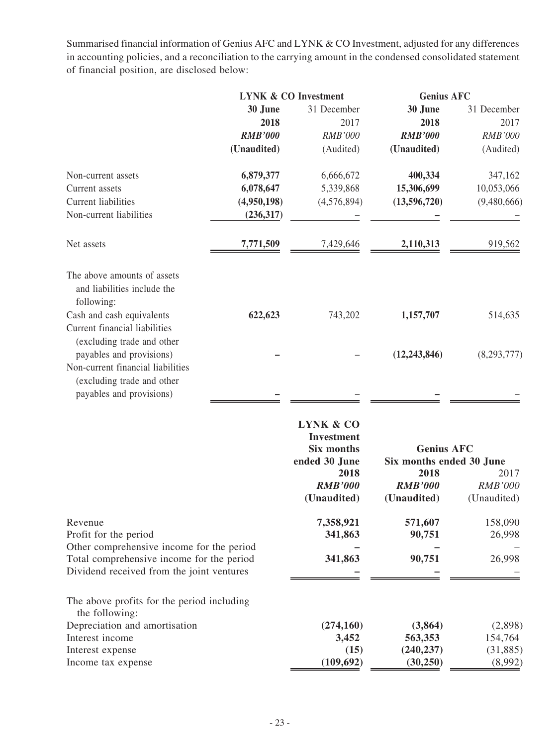Summarised financial information of Genius AFC and LYNK & CO Investment, adjusted for any differences in accounting policies, and a reconciliation to the carrying amount in the condensed consolidated statement of financial position, are disclosed below:

|                                                                                          | <b>LYNK &amp; CO Investment</b> |                                       |                                               |                                | <b>Genius AFC</b> |  |
|------------------------------------------------------------------------------------------|---------------------------------|---------------------------------------|-----------------------------------------------|--------------------------------|-------------------|--|
|                                                                                          | 30 June<br>2018                 | 31 December<br>2017<br><b>RMB'000</b> | 30 June<br>2018<br><b>RMB'000</b>             | 31 December<br>2017<br>RMB'000 |                   |  |
|                                                                                          | <b>RMB'000</b><br>(Unaudited)   | (Audited)                             | (Unaudited)                                   | (Audited)                      |                   |  |
| Non-current assets                                                                       | 6,879,377                       | 6,666,672                             | 400,334                                       | 347,162                        |                   |  |
| Current assets                                                                           | 6,078,647                       | 5,339,868                             | 15,306,699                                    | 10,053,066                     |                   |  |
| <b>Current liabilities</b>                                                               | (4,950,198)                     | (4,576,894)                           | (13,596,720)                                  | (9,480,666)                    |                   |  |
| Non-current liabilities                                                                  | (236,317)                       |                                       |                                               |                                |                   |  |
| Net assets                                                                               | 7,771,509                       | 7,429,646                             | 2,110,313                                     | 919,562                        |                   |  |
| The above amounts of assets<br>and liabilities include the<br>following:                 |                                 |                                       |                                               |                                |                   |  |
| Cash and cash equivalents<br>Current financial liabilities<br>(excluding trade and other | 622,623                         | 743,202                               | 1,157,707                                     | 514,635                        |                   |  |
| payables and provisions)                                                                 |                                 |                                       | (12, 243, 846)                                | (8,293,777)                    |                   |  |
| Non-current financial liabilities                                                        |                                 |                                       |                                               |                                |                   |  |
| (excluding trade and other                                                               |                                 |                                       |                                               |                                |                   |  |
| payables and provisions)                                                                 |                                 |                                       |                                               |                                |                   |  |
|                                                                                          |                                 |                                       |                                               |                                |                   |  |
|                                                                                          |                                 | <b>LYNK &amp; CO</b>                  |                                               |                                |                   |  |
|                                                                                          |                                 | <b>Investment</b>                     |                                               |                                |                   |  |
|                                                                                          |                                 | Six months<br>ended 30 June           | <b>Genius AFC</b><br>Six months ended 30 June |                                |                   |  |
|                                                                                          |                                 | 2018                                  | 2018                                          | 2017                           |                   |  |
|                                                                                          |                                 | <b>RMB'000</b>                        | <b>RMB'000</b>                                | <b>RMB'000</b>                 |                   |  |
|                                                                                          |                                 | (Unaudited)                           | (Unaudited)                                   | (Unaudited)                    |                   |  |
| Revenue                                                                                  |                                 | 7,358,921                             | 571,607                                       | 158,090                        |                   |  |
| Profit for the period                                                                    |                                 | 341,863                               | 90,751                                        | 26,998                         |                   |  |
| Other comprehensive income for the period<br>Total comprehensive income for the period   |                                 | 341,863                               | 90,751                                        | 26,998                         |                   |  |
| Dividend received from the joint ventures                                                |                                 |                                       |                                               |                                |                   |  |
| The above profits for the period including<br>the following:                             |                                 |                                       |                                               |                                |                   |  |
| Depreciation and amortisation                                                            |                                 | (274, 160)                            | (3, 864)                                      | (2,898)                        |                   |  |
| Interest income                                                                          |                                 | 3,452                                 | 563,353                                       | 154,764                        |                   |  |
| Interest expense                                                                         |                                 | (15)                                  | (240, 237)                                    | (31,885)                       |                   |  |
| Income tax expense                                                                       |                                 | (109, 692)                            | (30, 250)                                     | (8,992)                        |                   |  |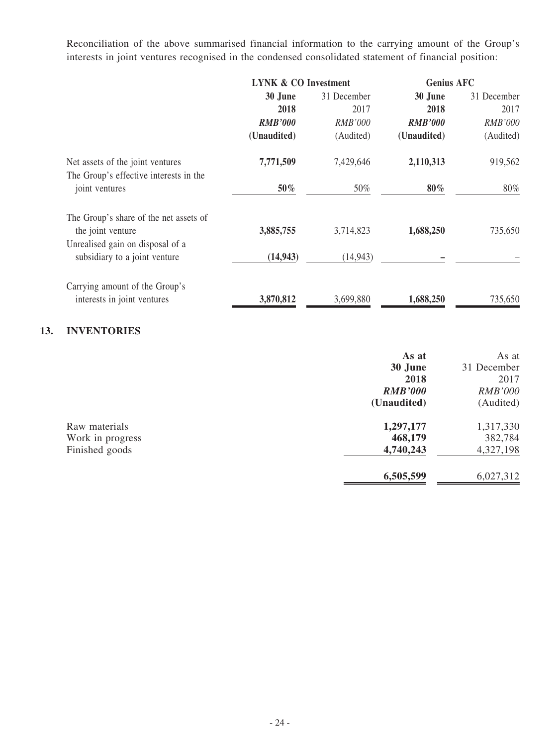Reconciliation of the above summarised financial information to the carrying amount of the Group's interests in joint ventures recognised in the condensed consolidated statement of financial position:

|                                                                            | <b>LYNK &amp; CO Investment</b> |           | <b>Genius AFC</b> |                |  |  |
|----------------------------------------------------------------------------|---------------------------------|-----------|-------------------|----------------|--|--|
|                                                                            | 30 June<br>31 December          |           | 30 June           | 31 December    |  |  |
|                                                                            | 2018                            | 2017      | 2018              | 2017           |  |  |
|                                                                            | <b>RMB'000</b>                  | RMB'000   | <b>RMB'000</b>    | <b>RMB'000</b> |  |  |
|                                                                            | (Unaudited)                     | (Audited) | (Unaudited)       | (Audited)      |  |  |
| Net assets of the joint ventures<br>The Group's effective interests in the | 7,771,509                       | 7,429,646 | 2,110,313         | 919,562        |  |  |
| joint ventures                                                             | 50%                             | 50%       | $80\%$            | 80%            |  |  |
| The Group's share of the net assets of                                     |                                 |           |                   |                |  |  |
| the joint venture                                                          | 3,885,755                       | 3,714,823 | 1,688,250         | 735,650        |  |  |
| Unrealised gain on disposal of a                                           |                                 |           |                   |                |  |  |
| subsidiary to a joint venture                                              | (14, 943)                       | (14, 943) |                   |                |  |  |
| Carrying amount of the Group's                                             |                                 |           |                   |                |  |  |
| interests in joint ventures                                                | 3,870,812                       | 3,699,880 | 1,688,250         | 735,650        |  |  |

### **13. INVENTORIES**

|                  | As at          | As at          |
|------------------|----------------|----------------|
|                  | 30 June        | 31 December    |
|                  | 2018           | 2017           |
|                  | <b>RMB'000</b> | <b>RMB'000</b> |
|                  | (Unaudited)    | (Audited)      |
| Raw materials    | 1,297,177      | 1,317,330      |
| Work in progress | 468,179        | 382,784        |
| Finished goods   | 4,740,243      | 4,327,198      |
|                  | 6,505,599      | 6,027,312      |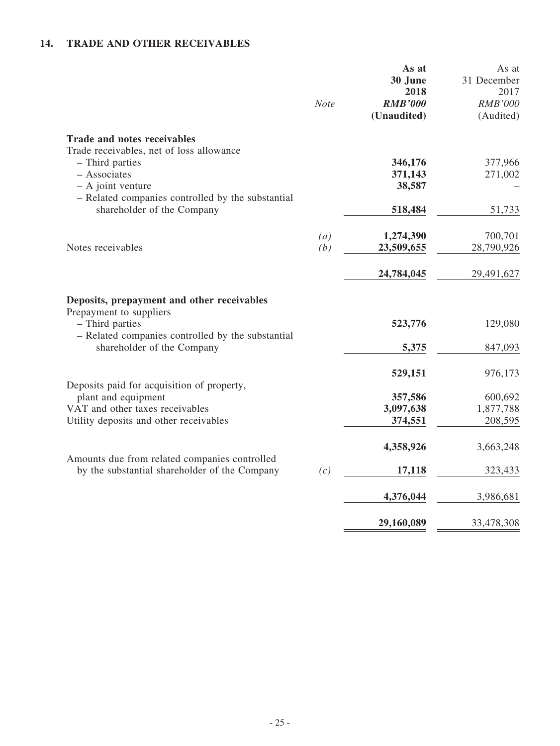## **14. TRADE AND OTHER RECEIVABLES**

|                                                                                                | <b>Note</b> | As at<br>30 June<br>2018<br><b>RMB'000</b><br>(Unaudited) | As at<br>31 December<br>2017<br>RMB'000<br>(Audited) |
|------------------------------------------------------------------------------------------------|-------------|-----------------------------------------------------------|------------------------------------------------------|
| <b>Trade and notes receivables</b><br>Trade receivables, net of loss allowance                 |             |                                                           |                                                      |
| - Third parties                                                                                |             | 346,176                                                   | 377,966                                              |
| - Associates                                                                                   |             | 371,143                                                   | 271,002                                              |
| $-$ A joint venture<br>- Related companies controlled by the substantial                       |             | 38,587                                                    |                                                      |
| shareholder of the Company                                                                     |             | 518,484                                                   | 51,733                                               |
|                                                                                                | (a)         | 1,274,390                                                 | 700,701                                              |
| Notes receivables                                                                              | (b)         | 23,509,655                                                | 28,790,926                                           |
|                                                                                                |             | 24,784,045                                                | 29,491,627                                           |
| Deposits, prepayment and other receivables                                                     |             |                                                           |                                                      |
| Prepayment to suppliers<br>- Third parties                                                     |             | 523,776                                                   | 129,080                                              |
| - Related companies controlled by the substantial                                              |             |                                                           |                                                      |
| shareholder of the Company                                                                     |             | 5,375                                                     | 847,093                                              |
|                                                                                                |             | 529,151                                                   | 976,173                                              |
| Deposits paid for acquisition of property,<br>plant and equipment                              |             | 357,586                                                   | 600,692                                              |
| VAT and other taxes receivables                                                                |             | 3,097,638                                                 | 1,877,788                                            |
| Utility deposits and other receivables                                                         |             | 374,551                                                   | 208,595                                              |
|                                                                                                |             | 4,358,926                                                 | 3,663,248                                            |
| Amounts due from related companies controlled<br>by the substantial shareholder of the Company | (c)         | 17,118                                                    | 323,433                                              |
|                                                                                                |             |                                                           |                                                      |
|                                                                                                |             | 4,376,044                                                 | 3,986,681                                            |
|                                                                                                |             | 29,160,089                                                | 33,478,308                                           |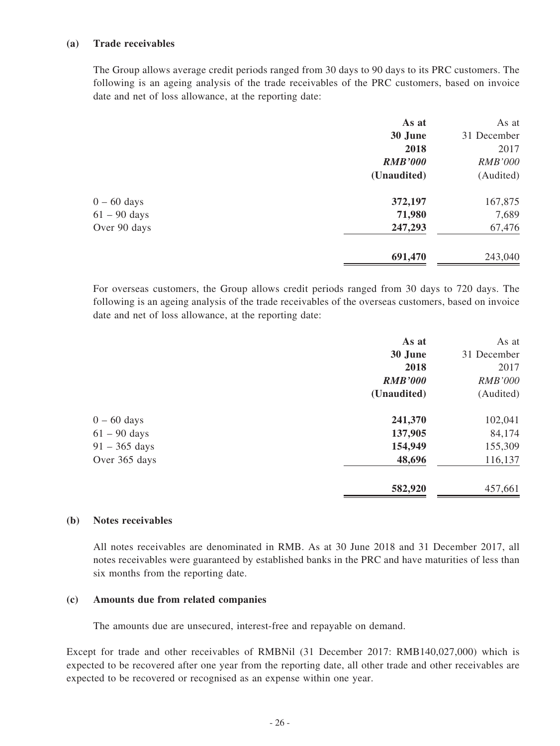#### **(a) Trade receivables**

The Group allows average credit periods ranged from 30 days to 90 days to its PRC customers. The following is an ageing analysis of the trade receivables of the PRC customers, based on invoice date and net of loss allowance, at the reporting date:

| As at          | As at          |
|----------------|----------------|
| 30 June        | 31 December    |
| 2018           | 2017           |
| <b>RMB'000</b> | <b>RMB'000</b> |
| (Unaudited)    | (Audited)      |
| 372,197        | 167,875        |
| 71,980         | 7,689          |
| 247,293        | 67,476         |
| 691,470        | 243,040        |
|                |                |

For overseas customers, the Group allows credit periods ranged from 30 days to 720 days. The following is an ageing analysis of the trade receivables of the overseas customers, based on invoice date and net of loss allowance, at the reporting date:

| As at          | As at          |
|----------------|----------------|
| 30 June        | 31 December    |
| 2018           | 2017           |
| <b>RMB'000</b> | <b>RMB'000</b> |
| (Unaudited)    | (Audited)      |
| 241,370        | 102,041        |
| 137,905        | 84,174         |
| 154,949        | 155,309        |
| 48,696         | 116,137        |
| 582,920        | 457,661        |
|                |                |

#### **(b) Notes receivables**

All notes receivables are denominated in RMB. As at 30 June 2018 and 31 December 2017, all notes receivables were guaranteed by established banks in the PRC and have maturities of less than six months from the reporting date.

#### **(c) Amounts due from related companies**

The amounts due are unsecured, interest-free and repayable on demand.

Except for trade and other receivables of RMBNil (31 December 2017: RMB140,027,000) which is expected to be recovered after one year from the reporting date, all other trade and other receivables are expected to be recovered or recognised as an expense within one year.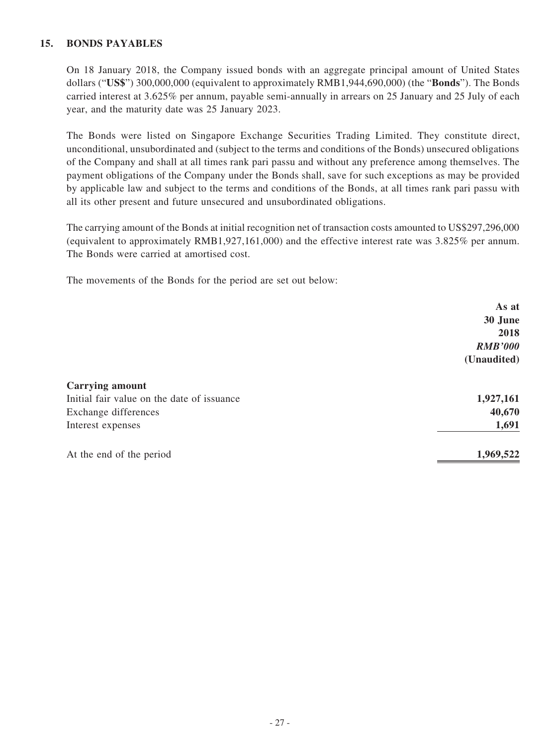#### **15. BONDS PAYABLES**

On 18 January 2018, the Company issued bonds with an aggregate principal amount of United States dollars ("**US\$**") 300,000,000 (equivalent to approximately RMB1,944,690,000) (the "**Bonds**"). The Bonds carried interest at 3.625% per annum, payable semi-annually in arrears on 25 January and 25 July of each year, and the maturity date was 25 January 2023.

The Bonds were listed on Singapore Exchange Securities Trading Limited. They constitute direct, unconditional, unsubordinated and (subject to the terms and conditions of the Bonds) unsecured obligations of the Company and shall at all times rank pari passu and without any preference among themselves. The payment obligations of the Company under the Bonds shall, save for such exceptions as may be provided by applicable law and subject to the terms and conditions of the Bonds, at all times rank pari passu with all its other present and future unsecured and unsubordinated obligations.

The carrying amount of the Bonds at initial recognition net of transaction costs amounted to US\$297,296,000 (equivalent to approximately RMB1,927,161,000) and the effective interest rate was 3.825% per annum. The Bonds were carried at amortised cost.

The movements of the Bonds for the period are set out below:

|                                            | As at          |
|--------------------------------------------|----------------|
|                                            | 30 June        |
|                                            | 2018           |
|                                            | <b>RMB'000</b> |
|                                            | (Unaudited)    |
| <b>Carrying amount</b>                     |                |
| Initial fair value on the date of issuance | 1,927,161      |
| Exchange differences                       | 40,670         |
| Interest expenses                          | 1,691          |
| At the end of the period                   | 1,969,522      |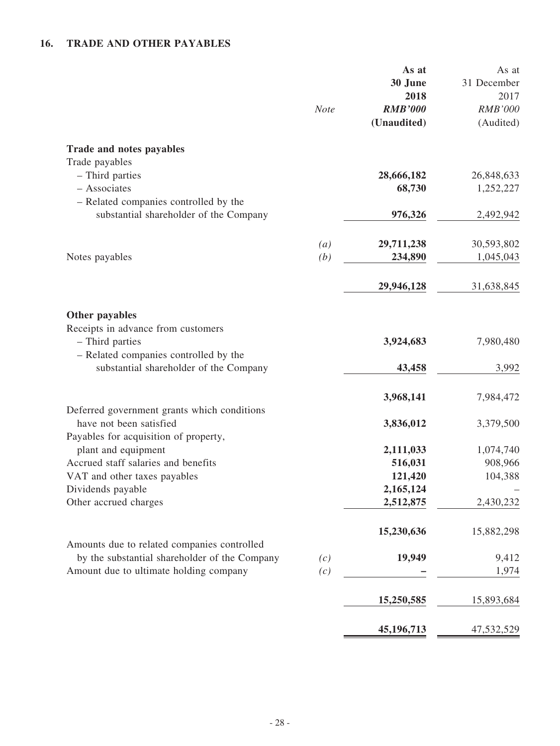## **16. TRADE AND OTHER PAYABLES**

|                                                                                                                 | <b>Note</b> | As at<br>30 June<br>2018<br><b>RMB'000</b><br>(Unaudited) | As at<br>31 December<br>2017<br><b>RMB'000</b><br>(Audited) |
|-----------------------------------------------------------------------------------------------------------------|-------------|-----------------------------------------------------------|-------------------------------------------------------------|
| Trade and notes payables                                                                                        |             |                                                           |                                                             |
| Trade payables<br>- Third parties                                                                               |             | 28,666,182                                                | 26,848,633                                                  |
| - Associates                                                                                                    |             | 68,730                                                    | 1,252,227                                                   |
| - Related companies controlled by the<br>substantial shareholder of the Company                                 |             | 976,326                                                   | 2,492,942                                                   |
|                                                                                                                 | (a)         | 29,711,238                                                | 30,593,802                                                  |
| Notes payables                                                                                                  | (b)         | 234,890                                                   | 1,045,043                                                   |
|                                                                                                                 |             | 29,946,128                                                | 31,638,845                                                  |
| Other payables                                                                                                  |             |                                                           |                                                             |
| Receipts in advance from customers<br>- Third parties<br>- Related companies controlled by the                  |             | 3,924,683                                                 | 7,980,480                                                   |
| substantial shareholder of the Company                                                                          |             | 43,458                                                    | 3,992                                                       |
|                                                                                                                 |             | 3,968,141                                                 | 7,984,472                                                   |
| Deferred government grants which conditions<br>have not been satisfied<br>Payables for acquisition of property, |             | 3,836,012                                                 | 3,379,500                                                   |
| plant and equipment                                                                                             |             | 2,111,033                                                 | 1,074,740                                                   |
| Accrued staff salaries and benefits<br>VAT and other taxes payables                                             |             | 516,031<br>121,420                                        | 908,966<br>104,388                                          |
| Dividends payable                                                                                               |             | 2,165,124                                                 |                                                             |
| Other accrued charges                                                                                           |             | 2,512,875                                                 | 2,430,232                                                   |
|                                                                                                                 |             | 15,230,636                                                | 15,882,298                                                  |
| Amounts due to related companies controlled<br>by the substantial shareholder of the Company                    | (c)         | 19,949                                                    | 9,412                                                       |
| Amount due to ultimate holding company                                                                          | (c)         |                                                           | 1,974                                                       |
|                                                                                                                 |             | 15,250,585                                                | 15,893,684                                                  |
|                                                                                                                 |             | 45,196,713                                                | 47,532,529                                                  |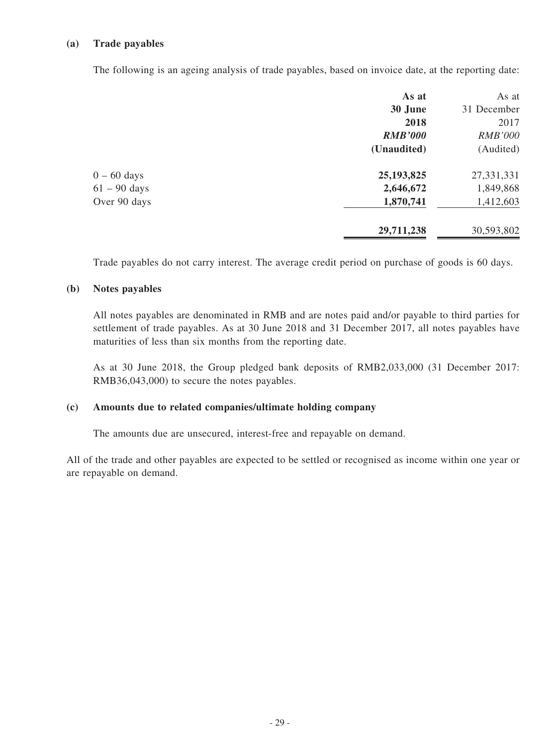#### **(a) Trade payables**

The following is an ageing analysis of trade payables, based on invoice date, at the reporting date:

|                | As at          | As at          |
|----------------|----------------|----------------|
|                | 30 June        | 31 December    |
|                | 2018           | 2017           |
|                | <b>RMB'000</b> | <b>RMB'000</b> |
|                | (Unaudited)    | (Audited)      |
| $0 - 60$ days  | 25, 193, 825   | 27,331,331     |
| $61 - 90$ days | 2,646,672      | 1,849,868      |
| Over 90 days   | 1,870,741      | 1,412,603      |
|                | 29,711,238     | 30,593,802     |

Trade payables do not carry interest. The average credit period on purchase of goods is 60 days.

#### **(b) Notes payables**

All notes payables are denominated in RMB and are notes paid and/or payable to third parties for settlement of trade payables. As at 30 June 2018 and 31 December 2017, all notes payables have maturities of less than six months from the reporting date.

As at 30 June 2018, the Group pledged bank deposits of RMB2,033,000 (31 December 2017: RMB36,043,000) to secure the notes payables.

#### **(c) Amounts due to related companies/ultimate holding company**

The amounts due are unsecured, interest-free and repayable on demand.

All of the trade and other payables are expected to be settled or recognised as income within one year or are repayable on demand.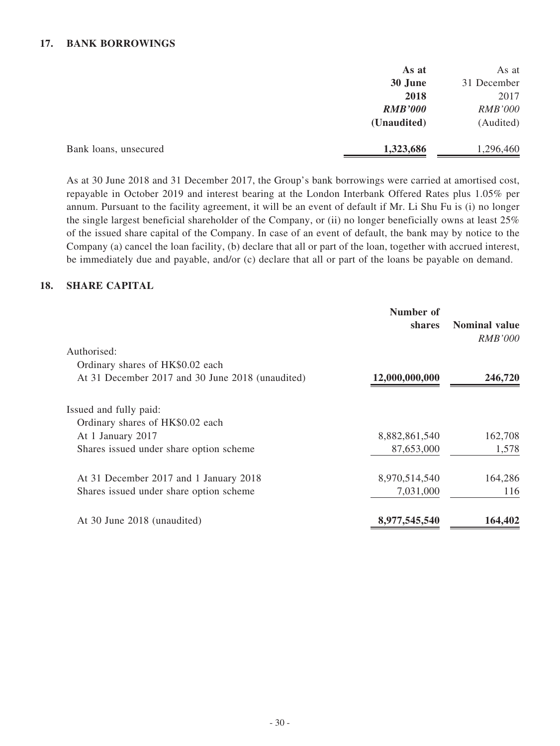#### **17. BANK BORROWINGS**

|                       | As at          | As at          |
|-----------------------|----------------|----------------|
|                       | 30 June        | 31 December    |
|                       | 2018           | 2017           |
|                       | <b>RMB'000</b> | <b>RMB'000</b> |
|                       | (Unaudited)    | (Audited)      |
| Bank loans, unsecured | 1,323,686      | 1,296,460      |

As at 30 June 2018 and 31 December 2017, the Group's bank borrowings were carried at amortised cost, repayable in October 2019 and interest bearing at the London Interbank Offered Rates plus 1.05% per annum. Pursuant to the facility agreement, it will be an event of default if Mr. Li Shu Fu is (i) no longer the single largest beneficial shareholder of the Company, or (ii) no longer beneficially owns at least 25% of the issued share capital of the Company. In case of an event of default, the bank may by notice to the Company (a) cancel the loan facility, (b) declare that all or part of the loan, together with accrued interest, be immediately due and payable, and/or (c) declare that all or part of the loans be payable on demand.

#### **18. SHARE CAPITAL**

|                                                  | Number of<br>shares | <b>Nominal value</b><br><i>RMB'000</i> |
|--------------------------------------------------|---------------------|----------------------------------------|
| Authorised:                                      |                     |                                        |
| Ordinary shares of HK\$0.02 each                 |                     |                                        |
| At 31 December 2017 and 30 June 2018 (unaudited) | 12,000,000,000      | 246,720                                |
| Issued and fully paid:                           |                     |                                        |
| Ordinary shares of HK\$0.02 each                 |                     |                                        |
| At 1 January 2017                                | 8,882,861,540       | 162,708                                |
| Shares issued under share option scheme          | 87,653,000          | 1,578                                  |
| At 31 December 2017 and 1 January 2018           | 8,970,514,540       | 164,286                                |
| Shares issued under share option scheme          | 7,031,000           | 116                                    |
| At 30 June 2018 (unaudited)                      | 8,977,545,540       | 164,402                                |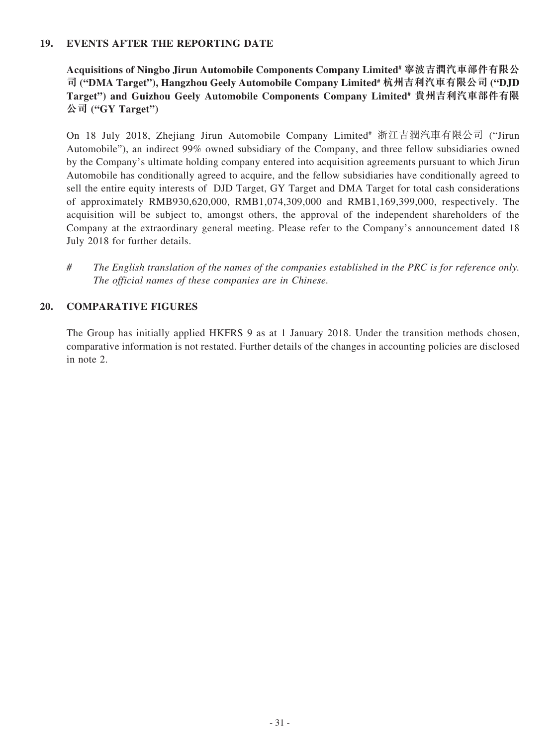#### **19. EVENTS AFTER THE REPORTING DATE**

**Acquisitions of Ningbo Jirun Automobile Components Company Limited# 寧波吉潤汽車部件有限公 司 ("DMA Target"), Hangzhou Geely Automobile Company Limited# 杭州吉利汽車有限公司 ("DJD Target") and Guizhou Geely Automobile Components Company Limited# 貴州吉利汽車部件有限 公司 ("GY Target")**

On 18 July 2018, Zhejiang Jirun Automobile Company Limited# 浙江吉潤汽車有限公司 ("Jirun Automobile"), an indirect 99% owned subsidiary of the Company, and three fellow subsidiaries owned by the Company's ultimate holding company entered into acquisition agreements pursuant to which Jirun Automobile has conditionally agreed to acquire, and the fellow subsidiaries have conditionally agreed to sell the entire equity interests of DJD Target, GY Target and DMA Target for total cash considerations of approximately RMB930,620,000, RMB1,074,309,000 and RMB1,169,399,000, respectively. The acquisition will be subject to, amongst others, the approval of the independent shareholders of the Company at the extraordinary general meeting. Please refer to the Company's announcement dated 18 July 2018 for further details.

*# The English translation of the names of the companies established in the PRC is for reference only. The official names of these companies are in Chinese.*

#### **20. COMPARATIVE FIGURES**

The Group has initially applied HKFRS 9 as at 1 January 2018. Under the transition methods chosen, comparative information is not restated. Further details of the changes in accounting policies are disclosed in note 2.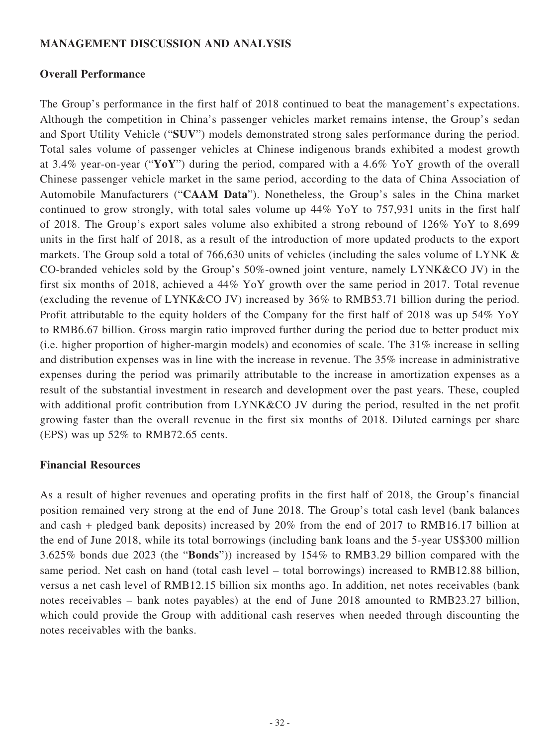### **MANAGEMENT DISCUSSION AND ANALYSIS**

### **Overall Performance**

The Group's performance in the first half of 2018 continued to beat the management's expectations. Although the competition in China's passenger vehicles market remains intense, the Group's sedan and Sport Utility Vehicle ("**SUV**") models demonstrated strong sales performance during the period. Total sales volume of passenger vehicles at Chinese indigenous brands exhibited a modest growth at 3.4% year-on-year ("**YoY**") during the period, compared with a 4.6% YoY growth of the overall Chinese passenger vehicle market in the same period, according to the data of China Association of Automobile Manufacturers ("**CAAM Data**"). Nonetheless, the Group's sales in the China market continued to grow strongly, with total sales volume up 44% YoY to 757,931 units in the first half of 2018. The Group's export sales volume also exhibited a strong rebound of 126% YoY to 8,699 units in the first half of 2018, as a result of the introduction of more updated products to the export markets. The Group sold a total of 766,630 units of vehicles (including the sales volume of LYNK & CO-branded vehicles sold by the Group's 50%-owned joint venture, namely LYNK&CO JV) in the first six months of 2018, achieved a 44% YoY growth over the same period in 2017. Total revenue (excluding the revenue of LYNK&CO JV) increased by 36% to RMB53.71 billion during the period. Profit attributable to the equity holders of the Company for the first half of 2018 was up 54% YoY to RMB6.67 billion. Gross margin ratio improved further during the period due to better product mix (i.e. higher proportion of higher-margin models) and economies of scale. The 31% increase in selling and distribution expenses was in line with the increase in revenue. The 35% increase in administrative expenses during the period was primarily attributable to the increase in amortization expenses as a result of the substantial investment in research and development over the past years. These, coupled with additional profit contribution from LYNK&CO JV during the period, resulted in the net profit growing faster than the overall revenue in the first six months of 2018. Diluted earnings per share (EPS) was up 52% to RMB72.65 cents.

### **Financial Resources**

As a result of higher revenues and operating profits in the first half of 2018, the Group's financial position remained very strong at the end of June 2018. The Group's total cash level (bank balances and cash + pledged bank deposits) increased by 20% from the end of 2017 to RMB16.17 billion at the end of June 2018, while its total borrowings (including bank loans and the 5-year US\$300 million 3.625% bonds due 2023 (the "**Bonds**")) increased by 154% to RMB3.29 billion compared with the same period. Net cash on hand (total cash level – total borrowings) increased to RMB12.88 billion, versus a net cash level of RMB12.15 billion six months ago. In addition, net notes receivables (bank notes receivables – bank notes payables) at the end of June 2018 amounted to RMB23.27 billion, which could provide the Group with additional cash reserves when needed through discounting the notes receivables with the banks.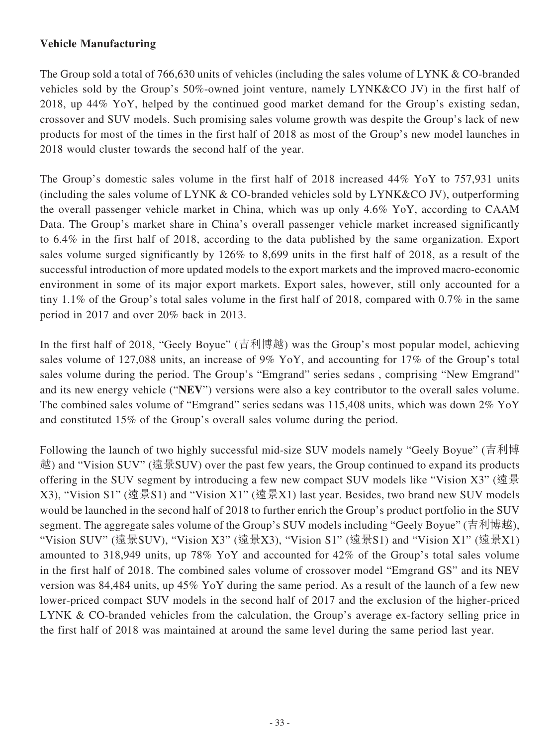### **Vehicle Manufacturing**

The Group sold a total of 766,630 units of vehicles (including the sales volume of LYNK & CO-branded vehicles sold by the Group's 50%-owned joint venture, namely LYNK&CO JV) in the first half of 2018, up 44% YoY, helped by the continued good market demand for the Group's existing sedan, crossover and SUV models. Such promising sales volume growth was despite the Group's lack of new products for most of the times in the first half of 2018 as most of the Group's new model launches in 2018 would cluster towards the second half of the year.

The Group's domestic sales volume in the first half of 2018 increased 44% YoY to 757,931 units (including the sales volume of LYNK & CO-branded vehicles sold by LYNK&CO JV), outperforming the overall passenger vehicle market in China, which was up only 4.6% YoY, according to CAAM Data. The Group's market share in China's overall passenger vehicle market increased significantly to 6.4% in the first half of 2018, according to the data published by the same organization. Export sales volume surged significantly by 126% to 8,699 units in the first half of 2018, as a result of the successful introduction of more updated models to the export markets and the improved macro-economic environment in some of its major export markets. Export sales, however, still only accounted for a tiny 1.1% of the Group's total sales volume in the first half of 2018, compared with 0.7% in the same period in 2017 and over 20% back in 2013.

In the first half of 2018, "Geely Boyue" (吉利博越) was the Group's most popular model, achieving sales volume of 127,088 units, an increase of 9% YoY, and accounting for 17% of the Group's total sales volume during the period. The Group's "Emgrand" series sedans , comprising "New Emgrand" and its new energy vehicle ("**NEV**") versions were also a key contributor to the overall sales volume. The combined sales volume of "Emgrand" series sedans was 115,408 units, which was down 2% YoY and constituted 15% of the Group's overall sales volume during the period.

Following the launch of two highly successful mid-size SUV models namely "Geely Boyue" (吉利博 越) and "Vision SUV" (遠景SUV) over the past few years, the Group continued to expand its products offering in the SUV segment by introducing a few new compact SUV models like "Vision X3" (遠景 X3), "Vision S1" (遠景S1) and "Vision X1" (遠景X1) last year. Besides, two brand new SUV models would be launched in the second half of 2018 to further enrich the Group's product portfolio in the SUV segment. The aggregate sales volume of the Group's SUV models including "Geely Boyue" (吉利博越), "Vision SUV" (遠景SUV), "Vision X3" (遠景X3), "Vision S1" (遠景S1) and "Vision X1" (遠景X1) amounted to 318,949 units, up 78% YoY and accounted for 42% of the Group's total sales volume in the first half of 2018. The combined sales volume of crossover model "Emgrand GS" and its NEV version was 84,484 units, up 45% YoY during the same period. As a result of the launch of a few new lower-priced compact SUV models in the second half of 2017 and the exclusion of the higher-priced LYNK & CO-branded vehicles from the calculation, the Group's average ex-factory selling price in the first half of 2018 was maintained at around the same level during the same period last year.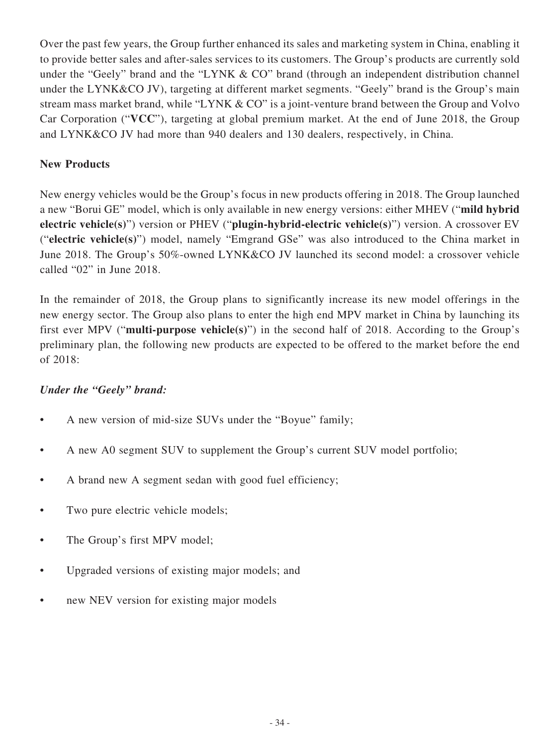Over the past few years, the Group further enhanced its sales and marketing system in China, enabling it to provide better sales and after-sales services to its customers. The Group's products are currently sold under the "Geely" brand and the "LYNK & CO" brand (through an independent distribution channel under the LYNK&CO JV), targeting at different market segments. "Geely" brand is the Group's main stream mass market brand, while "LYNK & CO" is a joint-venture brand between the Group and Volvo Car Corporation ("**VCC**"), targeting at global premium market. At the end of June 2018, the Group and LYNK&CO JV had more than 940 dealers and 130 dealers, respectively, in China.

### **New Products**

New energy vehicles would be the Group's focus in new products offering in 2018. The Group launched a new "Borui GE" model, which is only available in new energy versions: either MHEV ("**mild hybrid electric vehicle(s)**") version or PHEV ("**plugin-hybrid-electric vehicle(s)**") version. A crossover EV ("**electric vehicle(s)**") model, namely "Emgrand GSe" was also introduced to the China market in June 2018. The Group's 50%-owned LYNK&CO JV launched its second model: a crossover vehicle called "02" in June 2018.

In the remainder of 2018, the Group plans to significantly increase its new model offerings in the new energy sector. The Group also plans to enter the high end MPV market in China by launching its first ever MPV ("**multi-purpose vehicle(s)**") in the second half of 2018. According to the Group's preliminary plan, the following new products are expected to be offered to the market before the end of 2018:

### *Under the "Geely" brand:*

- A new version of mid-size SUVs under the "Boyue" family;
- A new A0 segment SUV to supplement the Group's current SUV model portfolio;
- A brand new A segment sedan with good fuel efficiency;
- Two pure electric vehicle models;
- The Group's first MPV model;
- Upgraded versions of existing major models; and
- new NEV version for existing major models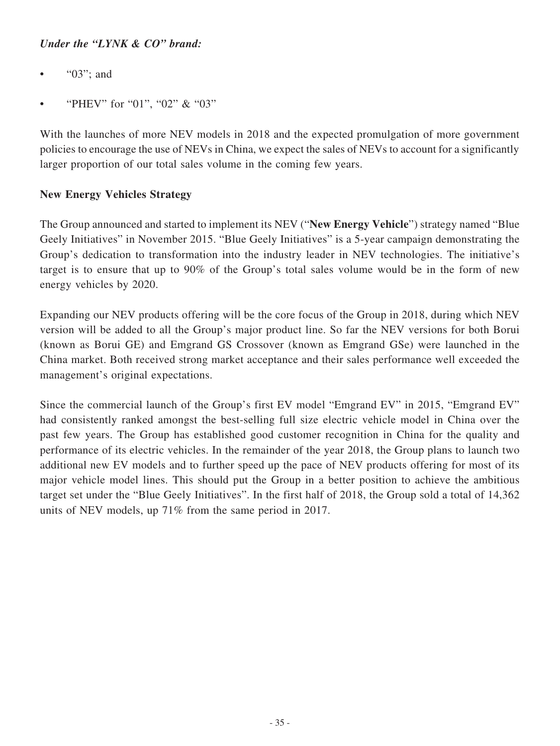### *Under the "LYNK & CO" brand:*

- "03"; and
- "PHEV" for "01", "02" & "03"

With the launches of more NEV models in 2018 and the expected promulgation of more government policies to encourage the use of NEVs in China, we expect the sales of NEVs to account for a significantly larger proportion of our total sales volume in the coming few years.

### **New Energy Vehicles Strategy**

The Group announced and started to implement its NEV ("**New Energy Vehicle**") strategy named "Blue Geely Initiatives" in November 2015. "Blue Geely Initiatives" is a 5-year campaign demonstrating the Group's dedication to transformation into the industry leader in NEV technologies. The initiative's target is to ensure that up to 90% of the Group's total sales volume would be in the form of new energy vehicles by 2020.

Expanding our NEV products offering will be the core focus of the Group in 2018, during which NEV version will be added to all the Group's major product line. So far the NEV versions for both Borui (known as Borui GE) and Emgrand GS Crossover (known as Emgrand GSe) were launched in the China market. Both received strong market acceptance and their sales performance well exceeded the management's original expectations.

Since the commercial launch of the Group's first EV model "Emgrand EV" in 2015, "Emgrand EV" had consistently ranked amongst the best-selling full size electric vehicle model in China over the past few years. The Group has established good customer recognition in China for the quality and performance of its electric vehicles. In the remainder of the year 2018, the Group plans to launch two additional new EV models and to further speed up the pace of NEV products offering for most of its major vehicle model lines. This should put the Group in a better position to achieve the ambitious target set under the "Blue Geely Initiatives". In the first half of 2018, the Group sold a total of 14,362 units of NEV models, up 71% from the same period in 2017.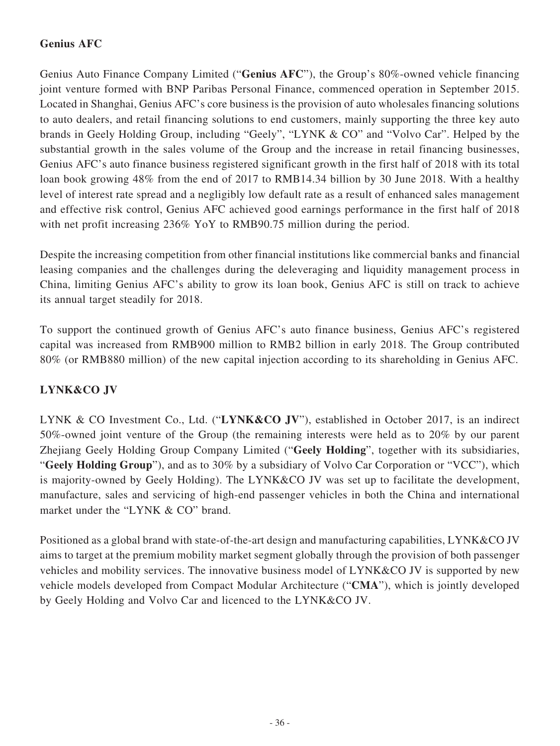## **Genius AFC**

Genius Auto Finance Company Limited ("**Genius AFC**"), the Group's 80%-owned vehicle financing joint venture formed with BNP Paribas Personal Finance, commenced operation in September 2015. Located in Shanghai, Genius AFC's core business is the provision of auto wholesales financing solutions to auto dealers, and retail financing solutions to end customers, mainly supporting the three key auto brands in Geely Holding Group, including "Geely", "LYNK & CO" and "Volvo Car". Helped by the substantial growth in the sales volume of the Group and the increase in retail financing businesses, Genius AFC's auto finance business registered significant growth in the first half of 2018 with its total loan book growing 48% from the end of 2017 to RMB14.34 billion by 30 June 2018. With a healthy level of interest rate spread and a negligibly low default rate as a result of enhanced sales management and effective risk control, Genius AFC achieved good earnings performance in the first half of 2018 with net profit increasing 236% YoY to RMB90.75 million during the period.

Despite the increasing competition from other financial institutions like commercial banks and financial leasing companies and the challenges during the deleveraging and liquidity management process in China, limiting Genius AFC's ability to grow its loan book, Genius AFC is still on track to achieve its annual target steadily for 2018.

To support the continued growth of Genius AFC's auto finance business, Genius AFC's registered capital was increased from RMB900 million to RMB2 billion in early 2018. The Group contributed 80% (or RMB880 million) of the new capital injection according to its shareholding in Genius AFC.

## **LYNK&CO JV**

LYNK & CO Investment Co., Ltd. ("**LYNK&CO JV**"), established in October 2017, is an indirect 50%-owned joint venture of the Group (the remaining interests were held as to 20% by our parent Zhejiang Geely Holding Group Company Limited ("**Geely Holding**", together with its subsidiaries, "**Geely Holding Group**"), and as to 30% by a subsidiary of Volvo Car Corporation or "VCC"), which is majority-owned by Geely Holding). The LYNK&CO JV was set up to facilitate the development, manufacture, sales and servicing of high-end passenger vehicles in both the China and international market under the "LYNK & CO" brand.

Positioned as a global brand with state-of-the-art design and manufacturing capabilities, LYNK&CO JV aims to target at the premium mobility market segment globally through the provision of both passenger vehicles and mobility services. The innovative business model of LYNK&CO JV is supported by new vehicle models developed from Compact Modular Architecture ("**CMA**"), which is jointly developed by Geely Holding and Volvo Car and licenced to the LYNK&CO JV.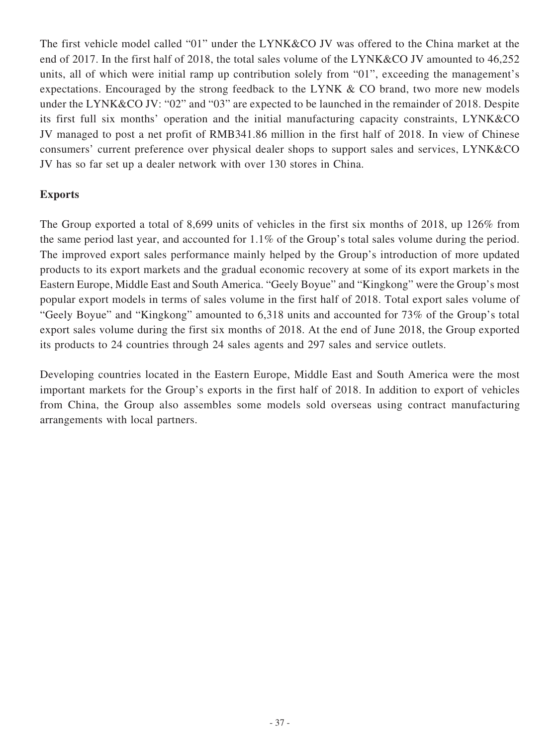The first vehicle model called "01" under the LYNK&CO JV was offered to the China market at the end of 2017. In the first half of 2018, the total sales volume of the LYNK&CO JV amounted to 46,252 units, all of which were initial ramp up contribution solely from "01", exceeding the management's expectations. Encouraged by the strong feedback to the LYNK & CO brand, two more new models under the LYNK&CO JV: "02" and "03" are expected to be launched in the remainder of 2018. Despite its first full six months' operation and the initial manufacturing capacity constraints, LYNK&CO JV managed to post a net profit of RMB341.86 million in the first half of 2018. In view of Chinese consumers' current preference over physical dealer shops to support sales and services, LYNK&CO JV has so far set up a dealer network with over 130 stores in China.

### **Exports**

The Group exported a total of 8,699 units of vehicles in the first six months of 2018, up 126% from the same period last year, and accounted for 1.1% of the Group's total sales volume during the period. The improved export sales performance mainly helped by the Group's introduction of more updated products to its export markets and the gradual economic recovery at some of its export markets in the Eastern Europe, Middle East and South America. "Geely Boyue" and "Kingkong" were the Group's most popular export models in terms of sales volume in the first half of 2018. Total export sales volume of "Geely Boyue" and "Kingkong" amounted to 6,318 units and accounted for 73% of the Group's total export sales volume during the first six months of 2018. At the end of June 2018, the Group exported its products to 24 countries through 24 sales agents and 297 sales and service outlets.

Developing countries located in the Eastern Europe, Middle East and South America were the most important markets for the Group's exports in the first half of 2018. In addition to export of vehicles from China, the Group also assembles some models sold overseas using contract manufacturing arrangements with local partners.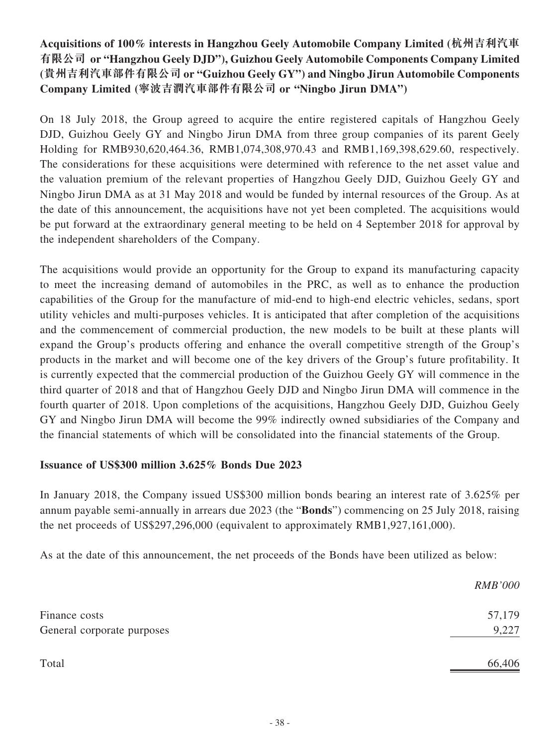## **Acquisitions of 100% interests in Hangzhou Geely Automobile Company Limited (杭州吉利汽車 有限公司 or "Hangzhou Geely DJD"), Guizhou Geely Automobile Components Company Limited (貴州吉利汽車部件有限公司 or "Guizhou Geely GY") and Ningbo Jirun Automobile Components Company Limited (寧波吉潤汽車部件有限公司 or "Ningbo Jirun DMA")**

On 18 July 2018, the Group agreed to acquire the entire registered capitals of Hangzhou Geely DJD, Guizhou Geely GY and Ningbo Jirun DMA from three group companies of its parent Geely Holding for RMB930,620,464.36, RMB1,074,308,970.43 and RMB1,169,398,629.60, respectively. The considerations for these acquisitions were determined with reference to the net asset value and the valuation premium of the relevant properties of Hangzhou Geely DJD, Guizhou Geely GY and Ningbo Jirun DMA as at 31 May 2018 and would be funded by internal resources of the Group. As at the date of this announcement, the acquisitions have not yet been completed. The acquisitions would be put forward at the extraordinary general meeting to be held on 4 September 2018 for approval by the independent shareholders of the Company.

The acquisitions would provide an opportunity for the Group to expand its manufacturing capacity to meet the increasing demand of automobiles in the PRC, as well as to enhance the production capabilities of the Group for the manufacture of mid-end to high-end electric vehicles, sedans, sport utility vehicles and multi-purposes vehicles. It is anticipated that after completion of the acquisitions and the commencement of commercial production, the new models to be built at these plants will expand the Group's products offering and enhance the overall competitive strength of the Group's products in the market and will become one of the key drivers of the Group's future profitability. It is currently expected that the commercial production of the Guizhou Geely GY will commence in the third quarter of 2018 and that of Hangzhou Geely DJD and Ningbo Jirun DMA will commence in the fourth quarter of 2018. Upon completions of the acquisitions, Hangzhou Geely DJD, Guizhou Geely GY and Ningbo Jirun DMA will become the 99% indirectly owned subsidiaries of the Company and the financial statements of which will be consolidated into the financial statements of the Group.

## **Issuance of US\$300 million 3.625% Bonds Due 2023**

In January 2018, the Company issued US\$300 million bonds bearing an interest rate of 3.625% per annum payable semi-annually in arrears due 2023 (the "**Bonds**") commencing on 25 July 2018, raising the net proceeds of US\$297,296,000 (equivalent to approximately RMB1,927,161,000).

As at the date of this announcement, the net proceeds of the Bonds have been utilized as below:

|                            | <i>RMB'000</i> |
|----------------------------|----------------|
| Finance costs              | 57,179         |
| General corporate purposes | 9,227          |
| Total                      | 66,406         |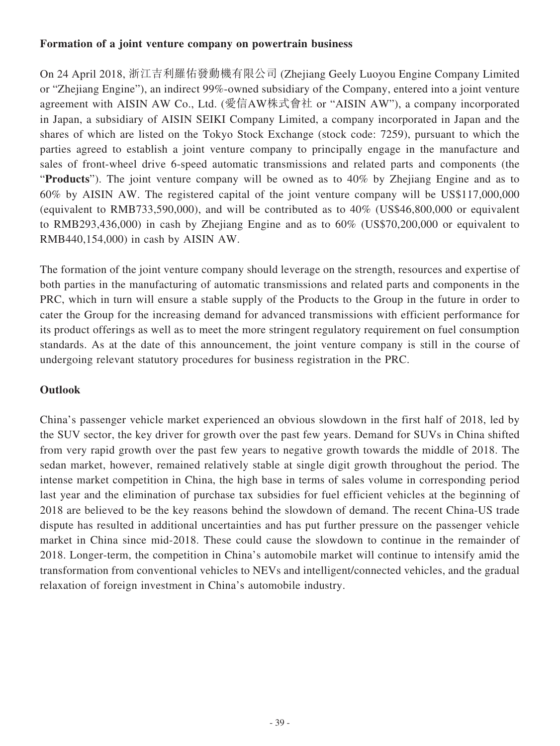### **Formation of a joint venture company on powertrain business**

On 24 April 2018, 浙江吉利羅佑發動機有限公司 (Zhejiang Geely Luoyou Engine Company Limited or "Zhejiang Engine"), an indirect 99%-owned subsidiary of the Company, entered into a joint venture agreement with AISIN AW Co., Ltd. (愛信AW株式會社 or "AISIN AW"), a company incorporated in Japan, a subsidiary of AISIN SEIKI Company Limited, a company incorporated in Japan and the shares of which are listed on the Tokyo Stock Exchange (stock code: 7259), pursuant to which the parties agreed to establish a joint venture company to principally engage in the manufacture and sales of front-wheel drive 6-speed automatic transmissions and related parts and components (the "**Products**"). The joint venture company will be owned as to 40% by Zhejiang Engine and as to 60% by AISIN AW. The registered capital of the joint venture company will be US\$117,000,000 (equivalent to RMB733,590,000), and will be contributed as to 40% (US\$46,800,000 or equivalent to RMB293,436,000) in cash by Zhejiang Engine and as to 60% (US\$70,200,000 or equivalent to RMB440,154,000) in cash by AISIN AW.

The formation of the joint venture company should leverage on the strength, resources and expertise of both parties in the manufacturing of automatic transmissions and related parts and components in the PRC, which in turn will ensure a stable supply of the Products to the Group in the future in order to cater the Group for the increasing demand for advanced transmissions with efficient performance for its product offerings as well as to meet the more stringent regulatory requirement on fuel consumption standards. As at the date of this announcement, the joint venture company is still in the course of undergoing relevant statutory procedures for business registration in the PRC.

## **Outlook**

China's passenger vehicle market experienced an obvious slowdown in the first half of 2018, led by the SUV sector, the key driver for growth over the past few years. Demand for SUVs in China shifted from very rapid growth over the past few years to negative growth towards the middle of 2018. The sedan market, however, remained relatively stable at single digit growth throughout the period. The intense market competition in China, the high base in terms of sales volume in corresponding period last year and the elimination of purchase tax subsidies for fuel efficient vehicles at the beginning of 2018 are believed to be the key reasons behind the slowdown of demand. The recent China-US trade dispute has resulted in additional uncertainties and has put further pressure on the passenger vehicle market in China since mid-2018. These could cause the slowdown to continue in the remainder of 2018. Longer-term, the competition in China's automobile market will continue to intensify amid the transformation from conventional vehicles to NEVs and intelligent/connected vehicles, and the gradual relaxation of foreign investment in China's automobile industry.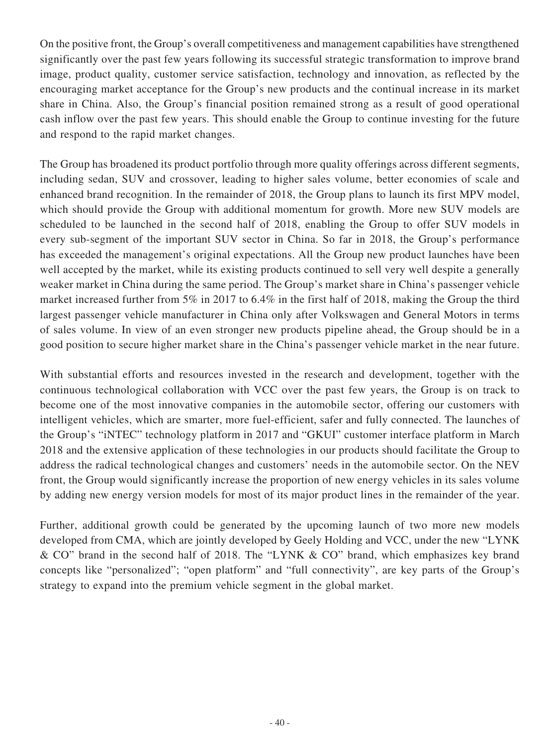On the positive front, the Group's overall competitiveness and management capabilities have strengthened significantly over the past few years following its successful strategic transformation to improve brand image, product quality, customer service satisfaction, technology and innovation, as reflected by the encouraging market acceptance for the Group's new products and the continual increase in its market share in China. Also, the Group's financial position remained strong as a result of good operational cash inflow over the past few years. This should enable the Group to continue investing for the future and respond to the rapid market changes.

The Group has broadened its product portfolio through more quality offerings across different segments, including sedan, SUV and crossover, leading to higher sales volume, better economies of scale and enhanced brand recognition. In the remainder of 2018, the Group plans to launch its first MPV model, which should provide the Group with additional momentum for growth. More new SUV models are scheduled to be launched in the second half of 2018, enabling the Group to offer SUV models in every sub-segment of the important SUV sector in China. So far in 2018, the Group's performance has exceeded the management's original expectations. All the Group new product launches have been well accepted by the market, while its existing products continued to sell very well despite a generally weaker market in China during the same period. The Group's market share in China's passenger vehicle market increased further from 5% in 2017 to 6.4% in the first half of 2018, making the Group the third largest passenger vehicle manufacturer in China only after Volkswagen and General Motors in terms of sales volume. In view of an even stronger new products pipeline ahead, the Group should be in a good position to secure higher market share in the China's passenger vehicle market in the near future.

With substantial efforts and resources invested in the research and development, together with the continuous technological collaboration with VCC over the past few years, the Group is on track to become one of the most innovative companies in the automobile sector, offering our customers with intelligent vehicles, which are smarter, more fuel-efficient, safer and fully connected. The launches of the Group's "iNTEC" technology platform in 2017 and "GKUI" customer interface platform in March 2018 and the extensive application of these technologies in our products should facilitate the Group to address the radical technological changes and customers' needs in the automobile sector. On the NEV front, the Group would significantly increase the proportion of new energy vehicles in its sales volume by adding new energy version models for most of its major product lines in the remainder of the year.

Further, additional growth could be generated by the upcoming launch of two more new models developed from CMA, which are jointly developed by Geely Holding and VCC, under the new "LYNK & CO" brand in the second half of 2018. The "LYNK & CO" brand, which emphasizes key brand concepts like "personalized"; "open platform" and "full connectivity", are key parts of the Group's strategy to expand into the premium vehicle segment in the global market.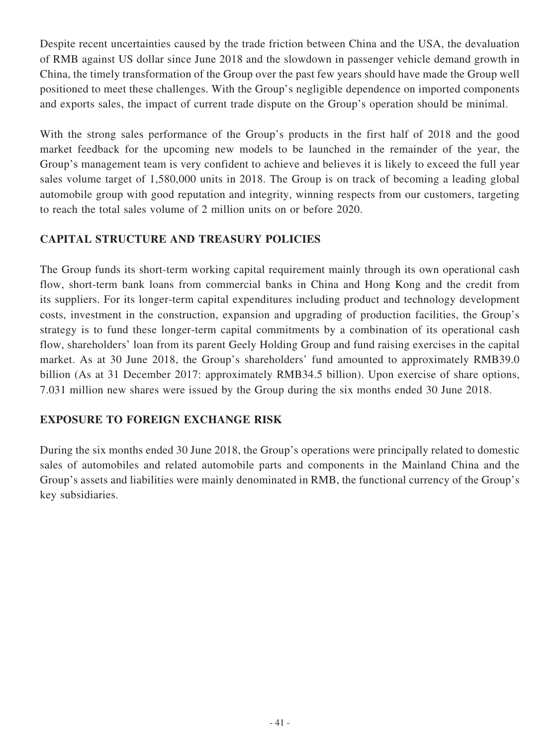Despite recent uncertainties caused by the trade friction between China and the USA, the devaluation of RMB against US dollar since June 2018 and the slowdown in passenger vehicle demand growth in China, the timely transformation of the Group over the past few years should have made the Group well positioned to meet these challenges. With the Group's negligible dependence on imported components and exports sales, the impact of current trade dispute on the Group's operation should be minimal.

With the strong sales performance of the Group's products in the first half of 2018 and the good market feedback for the upcoming new models to be launched in the remainder of the year, the Group's management team is very confident to achieve and believes it is likely to exceed the full year sales volume target of 1,580,000 units in 2018. The Group is on track of becoming a leading global automobile group with good reputation and integrity, winning respects from our customers, targeting to reach the total sales volume of 2 million units on or before 2020.

### **CAPITAL STRUCTURE AND TREASURY POLICIES**

The Group funds its short-term working capital requirement mainly through its own operational cash flow, short-term bank loans from commercial banks in China and Hong Kong and the credit from its suppliers. For its longer-term capital expenditures including product and technology development costs, investment in the construction, expansion and upgrading of production facilities, the Group's strategy is to fund these longer-term capital commitments by a combination of its operational cash flow, shareholders' loan from its parent Geely Holding Group and fund raising exercises in the capital market. As at 30 June 2018, the Group's shareholders' fund amounted to approximately RMB39.0 billion (As at 31 December 2017: approximately RMB34.5 billion). Upon exercise of share options, 7.031 million new shares were issued by the Group during the six months ended 30 June 2018.

## **EXPOSURE TO FOREIGN EXCHANGE RISK**

During the six months ended 30 June 2018, the Group's operations were principally related to domestic sales of automobiles and related automobile parts and components in the Mainland China and the Group's assets and liabilities were mainly denominated in RMB, the functional currency of the Group's key subsidiaries.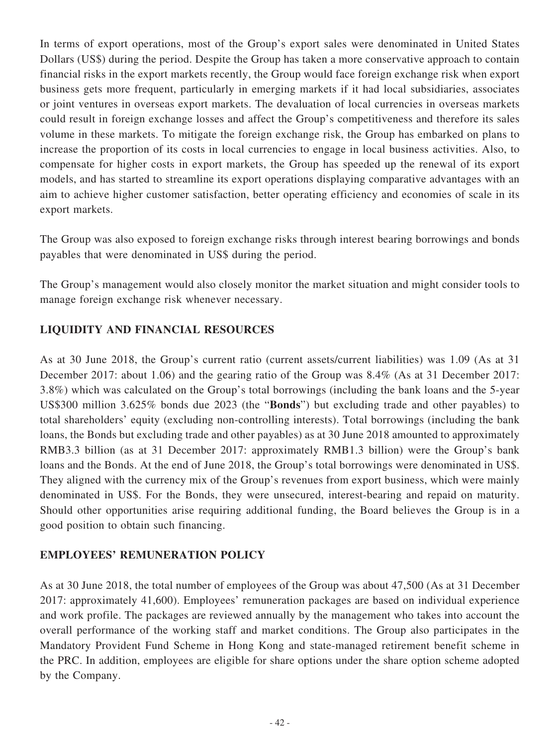In terms of export operations, most of the Group's export sales were denominated in United States Dollars (US\$) during the period. Despite the Group has taken a more conservative approach to contain financial risks in the export markets recently, the Group would face foreign exchange risk when export business gets more frequent, particularly in emerging markets if it had local subsidiaries, associates or joint ventures in overseas export markets. The devaluation of local currencies in overseas markets could result in foreign exchange losses and affect the Group's competitiveness and therefore its sales volume in these markets. To mitigate the foreign exchange risk, the Group has embarked on plans to increase the proportion of its costs in local currencies to engage in local business activities. Also, to compensate for higher costs in export markets, the Group has speeded up the renewal of its export models, and has started to streamline its export operations displaying comparative advantages with an aim to achieve higher customer satisfaction, better operating efficiency and economies of scale in its export markets.

The Group was also exposed to foreign exchange risks through interest bearing borrowings and bonds payables that were denominated in US\$ during the period.

The Group's management would also closely monitor the market situation and might consider tools to manage foreign exchange risk whenever necessary.

### **LIQUIDITY AND FINANCIAL RESOURCES**

As at 30 June 2018, the Group's current ratio (current assets/current liabilities) was 1.09 (As at 31 December 2017: about 1.06) and the gearing ratio of the Group was 8.4% (As at 31 December 2017: 3.8%) which was calculated on the Group's total borrowings (including the bank loans and the 5-year US\$300 million 3.625% bonds due 2023 (the "**Bonds**") but excluding trade and other payables) to total shareholders' equity (excluding non-controlling interests). Total borrowings (including the bank loans, the Bonds but excluding trade and other payables) as at 30 June 2018 amounted to approximately RMB3.3 billion (as at 31 December 2017: approximately RMB1.3 billion) were the Group's bank loans and the Bonds. At the end of June 2018, the Group's total borrowings were denominated in US\$. They aligned with the currency mix of the Group's revenues from export business, which were mainly denominated in US\$. For the Bonds, they were unsecured, interest-bearing and repaid on maturity. Should other opportunities arise requiring additional funding, the Board believes the Group is in a good position to obtain such financing.

### **EMPLOYEES' REMUNERATION POLICY**

As at 30 June 2018, the total number of employees of the Group was about 47,500 (As at 31 December 2017: approximately 41,600). Employees' remuneration packages are based on individual experience and work profile. The packages are reviewed annually by the management who takes into account the overall performance of the working staff and market conditions. The Group also participates in the Mandatory Provident Fund Scheme in Hong Kong and state-managed retirement benefit scheme in the PRC. In addition, employees are eligible for share options under the share option scheme adopted by the Company.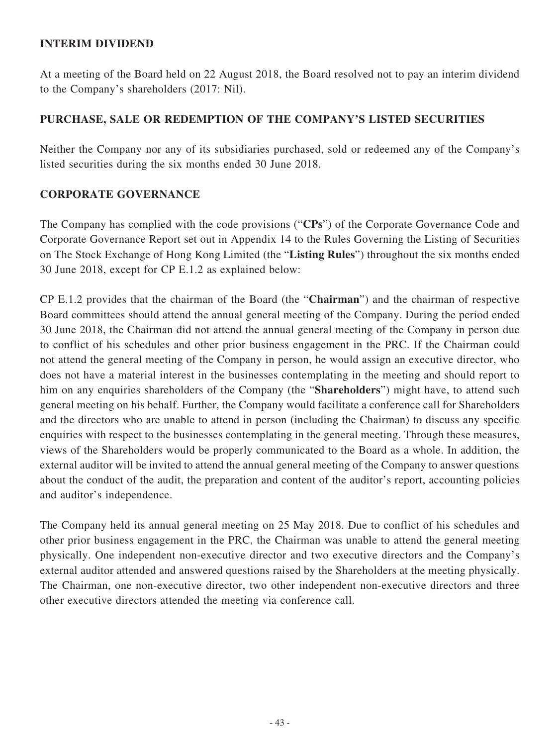### **INTERIM DIVIDEND**

At a meeting of the Board held on 22 August 2018, the Board resolved not to pay an interim dividend to the Company's shareholders (2017: Nil).

## **PURCHASE, SALE OR REDEMPTION OF THE COMPANY'S LISTED SECURITIES**

Neither the Company nor any of its subsidiaries purchased, sold or redeemed any of the Company's listed securities during the six months ended 30 June 2018.

### **CORPORATE GOVERNANCE**

The Company has complied with the code provisions ("**CPs**") of the Corporate Governance Code and Corporate Governance Report set out in Appendix 14 to the Rules Governing the Listing of Securities on The Stock Exchange of Hong Kong Limited (the "**Listing Rules**") throughout the six months ended 30 June 2018, except for CP E.1.2 as explained below:

CP E.1.2 provides that the chairman of the Board (the "**Chairman**") and the chairman of respective Board committees should attend the annual general meeting of the Company. During the period ended 30 June 2018, the Chairman did not attend the annual general meeting of the Company in person due to conflict of his schedules and other prior business engagement in the PRC. If the Chairman could not attend the general meeting of the Company in person, he would assign an executive director, who does not have a material interest in the businesses contemplating in the meeting and should report to him on any enquiries shareholders of the Company (the "**Shareholders**") might have, to attend such general meeting on his behalf. Further, the Company would facilitate a conference call for Shareholders and the directors who are unable to attend in person (including the Chairman) to discuss any specific enquiries with respect to the businesses contemplating in the general meeting. Through these measures, views of the Shareholders would be properly communicated to the Board as a whole. In addition, the external auditor will be invited to attend the annual general meeting of the Company to answer questions about the conduct of the audit, the preparation and content of the auditor's report, accounting policies and auditor's independence.

The Company held its annual general meeting on 25 May 2018. Due to conflict of his schedules and other prior business engagement in the PRC, the Chairman was unable to attend the general meeting physically. One independent non-executive director and two executive directors and the Company's external auditor attended and answered questions raised by the Shareholders at the meeting physically. The Chairman, one non-executive director, two other independent non-executive directors and three other executive directors attended the meeting via conference call.